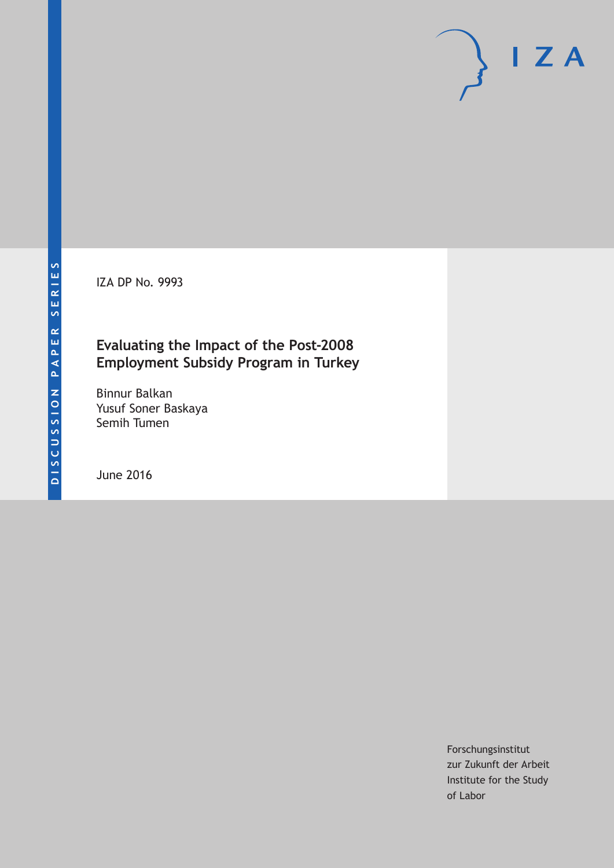IZA DP No. 9993

## **Evaluating the Impact of the Post-2008 Employment Subsidy Program in Turkey**

Binnur Balkan Yusuf Soner Baskaya Semih Tumen

June 2016

Forschungsinstitut zur Zukunft der Arbeit Institute for the Study of Labor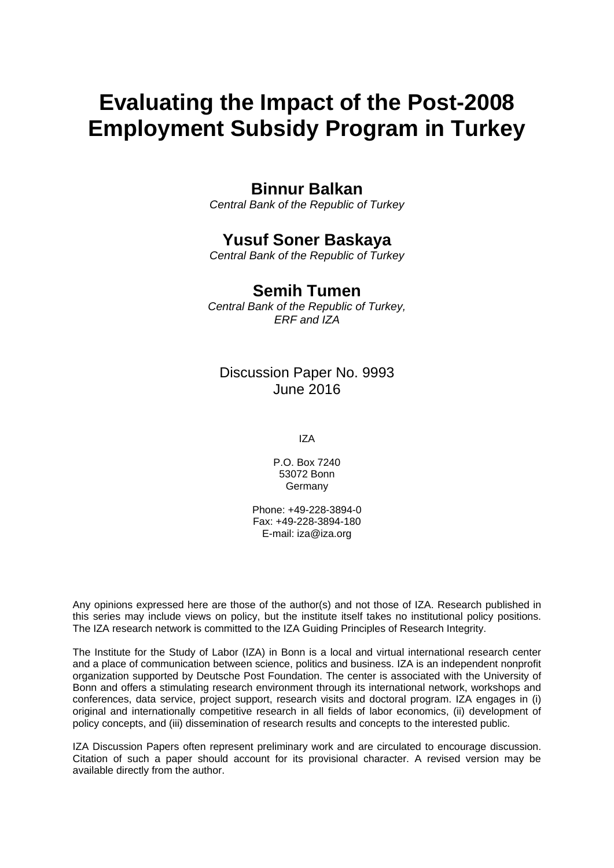# **Evaluating the Impact of the Post-2008 Employment Subsidy Program in Turkey**

## **Binnur Balkan**

*Central Bank of the Republic of Turkey* 

## **Yusuf Soner Baskaya**

*Central Bank of the Republic of Turkey* 

## **Semih Tumen**

*Central Bank of the Republic of Turkey, ERF and IZA*

## Discussion Paper No. 9993 June 2016

IZA

P.O. Box 7240 53072 Bonn Germany

Phone: +49-228-3894-0 Fax: +49-228-3894-180 E-mail: iza@iza.org

Any opinions expressed here are those of the author(s) and not those of IZA. Research published in this series may include views on policy, but the institute itself takes no institutional policy positions. The IZA research network is committed to the IZA Guiding Principles of Research Integrity.

The Institute for the Study of Labor (IZA) in Bonn is a local and virtual international research center and a place of communication between science, politics and business. IZA is an independent nonprofit organization supported by Deutsche Post Foundation. The center is associated with the University of Bonn and offers a stimulating research environment through its international network, workshops and conferences, data service, project support, research visits and doctoral program. IZA engages in (i) original and internationally competitive research in all fields of labor economics, (ii) development of policy concepts, and (iii) dissemination of research results and concepts to the interested public.

IZA Discussion Papers often represent preliminary work and are circulated to encourage discussion. Citation of such a paper should account for its provisional character. A revised version may be available directly from the author.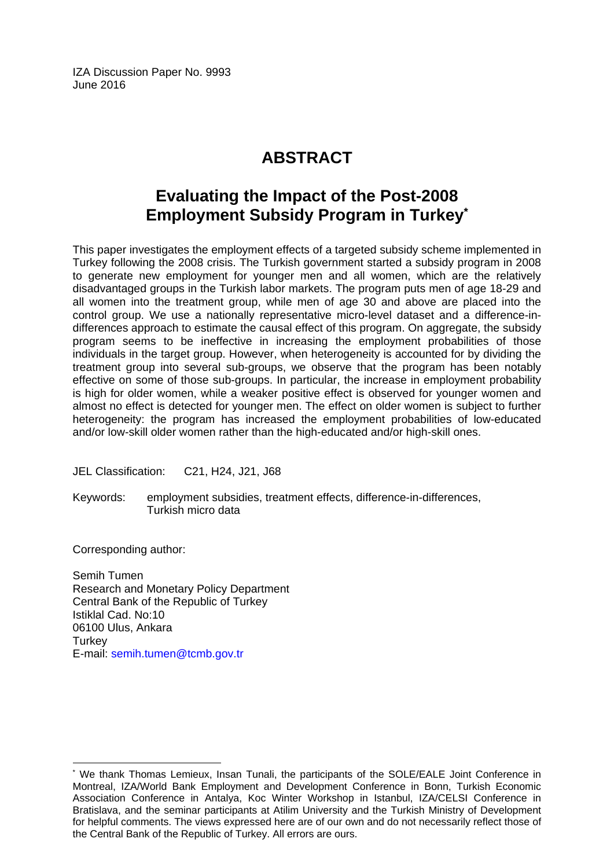IZA Discussion Paper No. 9993 June 2016

## **ABSTRACT**

## **Evaluating the Impact of the Post-2008 Employment Subsidy Program in Turkey\***

This paper investigates the employment effects of a targeted subsidy scheme implemented in Turkey following the 2008 crisis. The Turkish government started a subsidy program in 2008 to generate new employment for younger men and all women, which are the relatively disadvantaged groups in the Turkish labor markets. The program puts men of age 18-29 and all women into the treatment group, while men of age 30 and above are placed into the control group. We use a nationally representative micro-level dataset and a difference-indifferences approach to estimate the causal effect of this program. On aggregate, the subsidy program seems to be ineffective in increasing the employment probabilities of those individuals in the target group. However, when heterogeneity is accounted for by dividing the treatment group into several sub-groups, we observe that the program has been notably effective on some of those sub-groups. In particular, the increase in employment probability is high for older women, while a weaker positive effect is observed for younger women and almost no effect is detected for younger men. The effect on older women is subject to further heterogeneity: the program has increased the employment probabilities of low-educated and/or low-skill older women rather than the high-educated and/or high-skill ones.

JEL Classification: C21, H24, J21, J68

Keywords: employment subsidies, treatment effects, difference-in-differences, Turkish micro data

Corresponding author:

 $\overline{\phantom{a}}$ 

Semih Tumen Research and Monetary Policy Department Central Bank of the Republic of Turkey Istiklal Cad. No:10 06100 Ulus, Ankara **Turkey** E-mail: semih.tumen@tcmb.gov.tr

<sup>\*</sup> We thank Thomas Lemieux, Insan Tunali, the participants of the SOLE/EALE Joint Conference in Montreal, IZA/World Bank Employment and Development Conference in Bonn, Turkish Economic Association Conference in Antalya, Koc Winter Workshop in Istanbul, IZA/CELSI Conference in Bratislava, and the seminar participants at Atilim University and the Turkish Ministry of Development for helpful comments. The views expressed here are of our own and do not necessarily reflect those of the Central Bank of the Republic of Turkey. All errors are ours.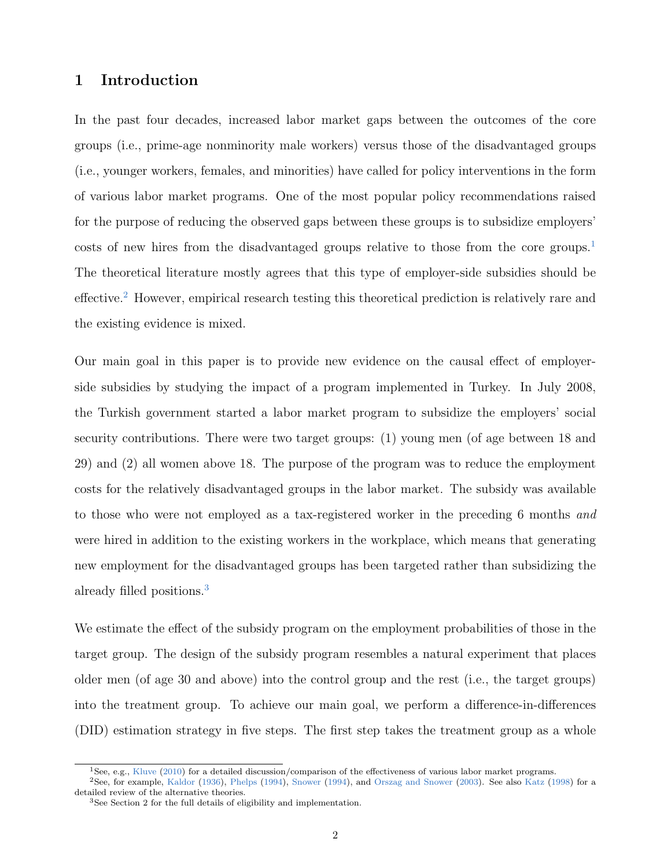## 1 Introduction

In the past four decades, increased labor market gaps between the outcomes of the core groups (i.e., prime-age nonminority male workers) versus those of the disadvantaged groups (i.e., younger workers, females, and minorities) have called for policy interventions in the form of various labor market programs. One of the most popular policy recommendations raised for the purpose of reducing the observed gaps between these groups is to subsidize employers' costs of new hires from the disadvantaged groups relative to those from the core groups.<sup>[1](#page--1-0)</sup> The theoretical literature mostly agrees that this type of employer-side subsidies should be effective.[2](#page--1-0) However, empirical research testing this theoretical prediction is relatively rare and the existing evidence is mixed.

Our main goal in this paper is to provide new evidence on the causal effect of employerside subsidies by studying the impact of a program implemented in Turkey. In July 2008, the Turkish government started a labor market program to subsidize the employers' social security contributions. There were two target groups: (1) young men (of age between 18 and 29) and (2) all women above 18. The purpose of the program was to reduce the employment costs for the relatively disadvantaged groups in the labor market. The subsidy was available to those who were not employed as a tax-registered worker in the preceding 6 months and were hired in addition to the existing workers in the workplace, which means that generating new employment for the disadvantaged groups has been targeted rather than subsidizing the already filled positions.[3](#page--1-0)

We estimate the effect of the subsidy program on the employment probabilities of those in the target group. The design of the subsidy program resembles a natural experiment that places older men (of age 30 and above) into the control group and the rest (i.e., the target groups) into the treatment group. To achieve our main goal, we perform a difference-in-differences (DID) estimation strategy in five steps. The first step takes the treatment group as a whole

<sup>1</sup>See, e.g., [Kluve](#page-28-0) [\(2010\)](#page-28-0) for a detailed discussion/comparison of the effectiveness of various labor market programs.

<sup>2</sup>See, for example, [Kaldor](#page-28-1) [\(1936\)](#page-28-1), [Phelps](#page-29-0) [\(1994\)](#page-29-0), [Snower](#page-29-1) [\(1994\)](#page-29-1), and [Orszag and Snower](#page-29-2) [\(2003\)](#page-29-2). See also [Katz](#page-28-2) [\(1998\)](#page-28-2) for a detailed review of the alternative theories.

<sup>3</sup>See Section 2 for the full details of eligibility and implementation.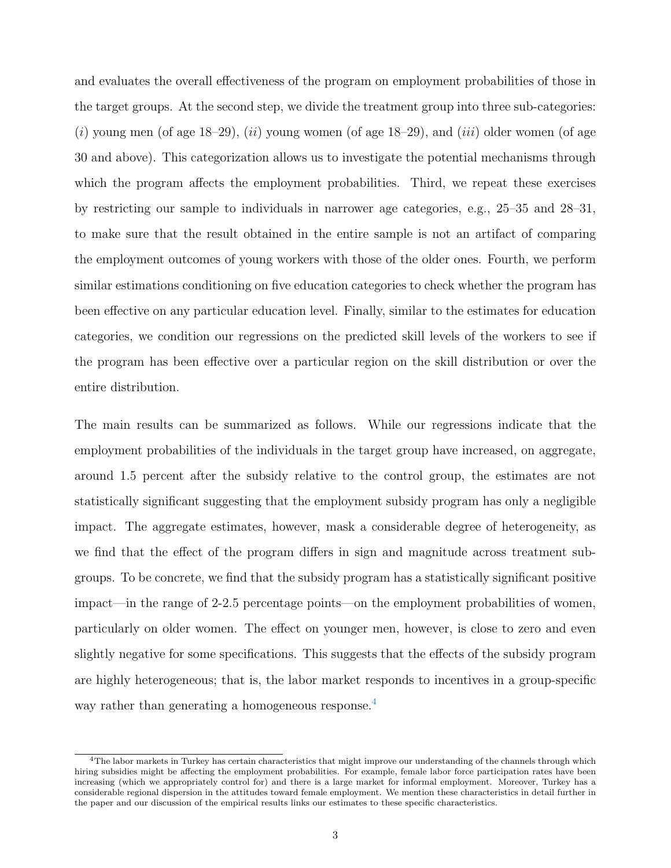and evaluates the overall effectiveness of the program on employment probabilities of those in the target groups. At the second step, we divide the treatment group into three sub-categories:  $(i)$  young men (of age 18–29),  $(ii)$  young women (of age 18–29), and  $(iii)$  older women (of age 30 and above). This categorization allows us to investigate the potential mechanisms through which the program affects the employment probabilities. Third, we repeat these exercises by restricting our sample to individuals in narrower age categories, e.g., 25–35 and 28–31, to make sure that the result obtained in the entire sample is not an artifact of comparing the employment outcomes of young workers with those of the older ones. Fourth, we perform similar estimations conditioning on five education categories to check whether the program has been effective on any particular education level. Finally, similar to the estimates for education categories, we condition our regressions on the predicted skill levels of the workers to see if the program has been effective over a particular region on the skill distribution or over the entire distribution.

The main results can be summarized as follows. While our regressions indicate that the employment probabilities of the individuals in the target group have increased, on aggregate, around 1.5 percent after the subsidy relative to the control group, the estimates are not statistically significant suggesting that the employment subsidy program has only a negligible impact. The aggregate estimates, however, mask a considerable degree of heterogeneity, as we find that the effect of the program differs in sign and magnitude across treatment subgroups. To be concrete, we find that the subsidy program has a statistically significant positive impact—in the range of 2-2.5 percentage points—on the employment probabilities of women, particularly on older women. The effect on younger men, however, is close to zero and even slightly negative for some specifications. This suggests that the effects of the subsidy program are highly heterogeneous; that is, the labor market responds to incentives in a group-specific way rather than generating a homogeneous response.<sup>[4](#page--1-0)</sup>

<sup>&</sup>lt;sup>4</sup>The labor markets in Turkey has certain characteristics that might improve our understanding of the channels through which hiring subsidies might be affecting the employment probabilities. For example, female labor force participation rates have been increasing (which we appropriately control for) and there is a large market for informal employment. Moreover, Turkey has a considerable regional dispersion in the attitudes toward female employment. We mention these characteristics in detail further in the paper and our discussion of the empirical results links our estimates to these specific characteristics.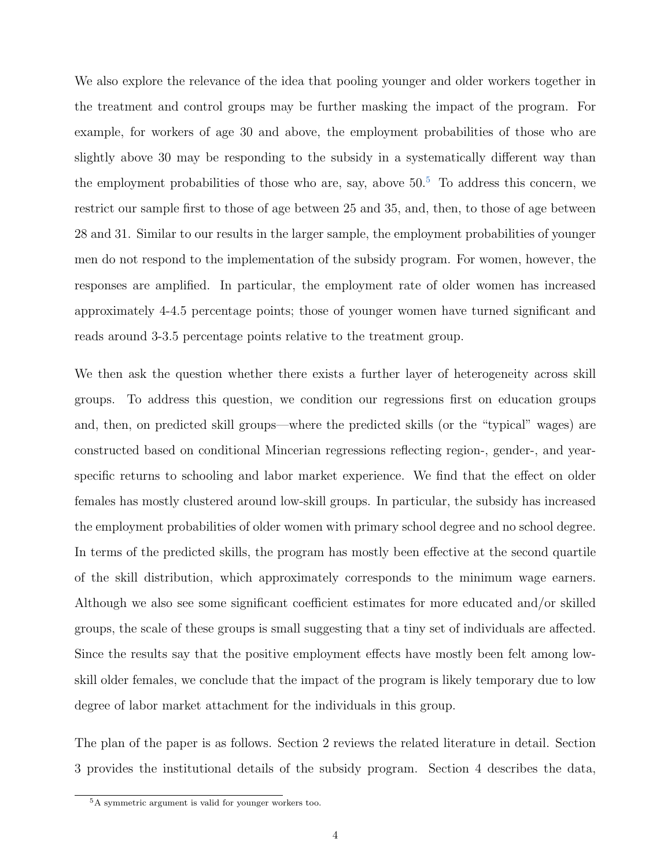We also explore the relevance of the idea that pooling younger and older workers together in the treatment and control groups may be further masking the impact of the program. For example, for workers of age 30 and above, the employment probabilities of those who are slightly above 30 may be responding to the subsidy in a systematically different way than the employment probabilities of those who are, say, above  $50<sup>5</sup>$  $50<sup>5</sup>$  To address this concern, we restrict our sample first to those of age between 25 and 35, and, then, to those of age between 28 and 31. Similar to our results in the larger sample, the employment probabilities of younger men do not respond to the implementation of the subsidy program. For women, however, the responses are amplified. In particular, the employment rate of older women has increased approximately 4-4.5 percentage points; those of younger women have turned significant and reads around 3-3.5 percentage points relative to the treatment group.

We then ask the question whether there exists a further layer of heterogeneity across skill groups. To address this question, we condition our regressions first on education groups and, then, on predicted skill groups—where the predicted skills (or the "typical" wages) are constructed based on conditional Mincerian regressions reflecting region-, gender-, and yearspecific returns to schooling and labor market experience. We find that the effect on older females has mostly clustered around low-skill groups. In particular, the subsidy has increased the employment probabilities of older women with primary school degree and no school degree. In terms of the predicted skills, the program has mostly been effective at the second quartile of the skill distribution, which approximately corresponds to the minimum wage earners. Although we also see some significant coefficient estimates for more educated and/or skilled groups, the scale of these groups is small suggesting that a tiny set of individuals are affected. Since the results say that the positive employment effects have mostly been felt among lowskill older females, we conclude that the impact of the program is likely temporary due to low degree of labor market attachment for the individuals in this group.

The plan of the paper is as follows. Section 2 reviews the related literature in detail. Section 3 provides the institutional details of the subsidy program. Section 4 describes the data,

<sup>5</sup>A symmetric argument is valid for younger workers too.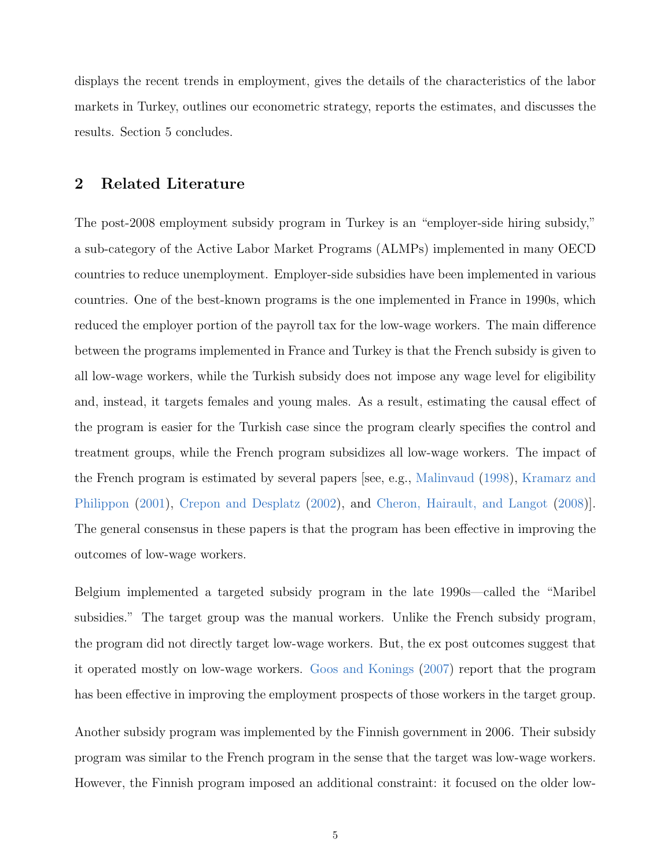displays the recent trends in employment, gives the details of the characteristics of the labor markets in Turkey, outlines our econometric strategy, reports the estimates, and discusses the results. Section 5 concludes.

### 2 Related Literature

The post-2008 employment subsidy program in Turkey is an "employer-side hiring subsidy," a sub-category of the Active Labor Market Programs (ALMPs) implemented in many OECD countries to reduce unemployment. Employer-side subsidies have been implemented in various countries. One of the best-known programs is the one implemented in France in 1990s, which reduced the employer portion of the payroll tax for the low-wage workers. The main difference between the programs implemented in France and Turkey is that the French subsidy is given to all low-wage workers, while the Turkish subsidy does not impose any wage level for eligibility and, instead, it targets females and young males. As a result, estimating the causal effect of the program is easier for the Turkish case since the program clearly specifies the control and treatment groups, while the French program subsidizes all low-wage workers. The impact of the French program is estimated by several papers [see, e.g., [Malinvaud](#page-28-3) [\(1998\)](#page-28-3), [Kramarz and](#page-28-4) [Philippon](#page-28-4) [\(2001\)](#page-28-4), [Crepon and Desplatz](#page-27-0) [\(2002\)](#page-27-0), and [Cheron, Hairault, and Langot](#page-27-1) [\(2008\)](#page-27-1)]. The general consensus in these papers is that the program has been effective in improving the outcomes of low-wage workers.

Belgium implemented a targeted subsidy program in the late 1990s—called the "Maribel subsidies." The target group was the manual workers. Unlike the French subsidy program, the program did not directly target low-wage workers. But, the ex post outcomes suggest that it operated mostly on low-wage workers. [Goos and Konings](#page-28-5) [\(2007\)](#page-28-5) report that the program has been effective in improving the employment prospects of those workers in the target group.

Another subsidy program was implemented by the Finnish government in 2006. Their subsidy program was similar to the French program in the sense that the target was low-wage workers. However, the Finnish program imposed an additional constraint: it focused on the older low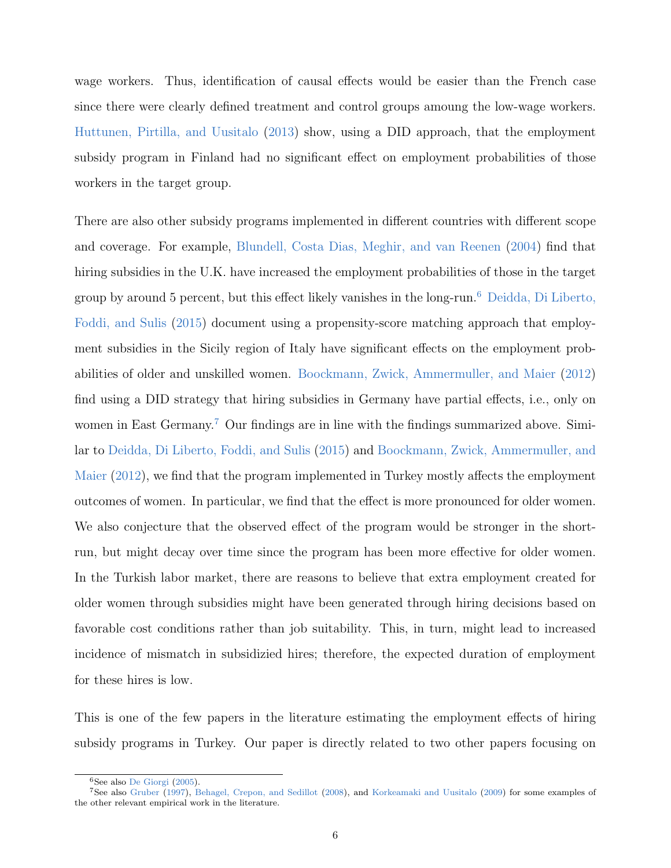wage workers. Thus, identification of causal effects would be easier than the French case since there were clearly defined treatment and control groups amoung the low-wage workers. [Huttunen, Pirtilla, and Uusitalo](#page-28-6) [\(2013\)](#page-28-6) show, using a DID approach, that the employment subsidy program in Finland had no significant effect on employment probabilities of those workers in the target group.

There are also other subsidy programs implemented in different countries with different scope and coverage. For example, [Blundell, Costa Dias, Meghir, and van Reenen](#page-27-2) [\(2004\)](#page-27-2) find that hiring subsidies in the U.K. have increased the employment probabilities of those in the target group by around 5 percent, but this effect likely vanishes in the long-run.[6](#page--1-0) [Deidda, Di Liberto,](#page-27-3) [Foddi, and Sulis](#page-27-3) [\(2015\)](#page-27-3) document using a propensity-score matching approach that employment subsidies in the Sicily region of Italy have significant effects on the employment probabilities of older and unskilled women. [Boockmann, Zwick, Ammermuller, and Maier](#page-27-4) [\(2012\)](#page-27-4) find using a DID strategy that hiring subsidies in Germany have partial effects, i.e., only on women in East Germany.<sup>[7](#page--1-0)</sup> Our findings are in line with the findings summarized above. Similar to [Deidda, Di Liberto, Foddi, and Sulis](#page-27-3) [\(2015\)](#page-27-3) and [Boockmann, Zwick, Ammermuller, and](#page-27-4) [Maier](#page-27-4) [\(2012\)](#page-27-4), we find that the program implemented in Turkey mostly affects the employment outcomes of women. In particular, we find that the effect is more pronounced for older women. We also conjecture that the observed effect of the program would be stronger in the shortrun, but might decay over time since the program has been more effective for older women. In the Turkish labor market, there are reasons to believe that extra employment created for older women through subsidies might have been generated through hiring decisions based on favorable cost conditions rather than job suitability. This, in turn, might lead to increased incidence of mismatch in subsidizied hires; therefore, the expected duration of employment for these hires is low.

This is one of the few papers in the literature estimating the employment effects of hiring subsidy programs in Turkey. Our paper is directly related to two other papers focusing on

<sup>6</sup>See also [De Giorgi](#page-27-5) [\(2005\)](#page-27-5).

<sup>7</sup>See also [Gruber](#page-28-7) [\(1997\)](#page-28-7), [Behagel, Crepon, and Sedillot](#page-27-6) [\(2008\)](#page-27-6), and [Korkeamaki and Uusitalo](#page-28-8) [\(2009\)](#page-28-8) for some examples of the other relevant empirical work in the literature.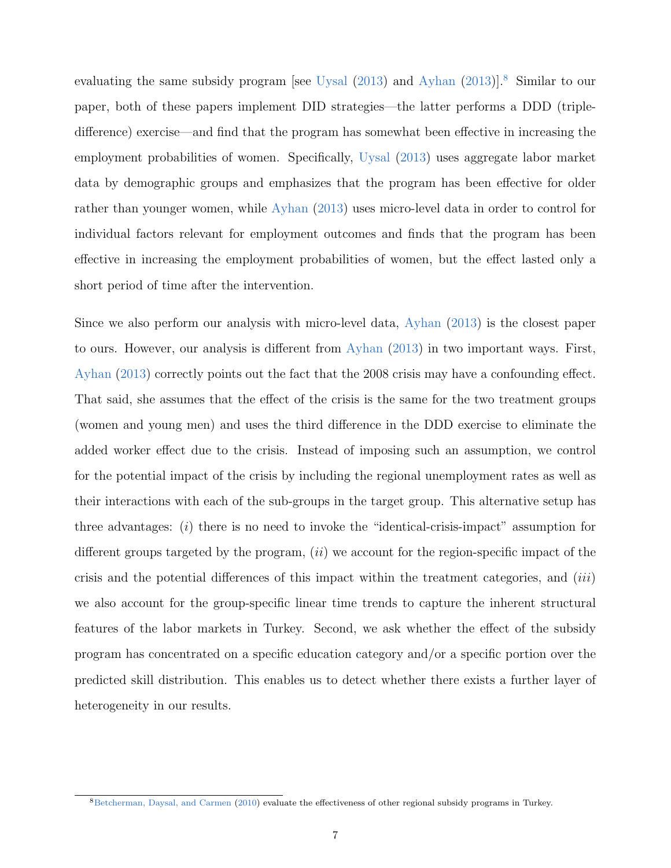evaluating the same subsidy program [see [Uysal](#page-29-3) [\(2013\)](#page-27-7) and [Ayhan](#page-27-7) (2013)].<sup>[8](#page--1-0)</sup> Similar to our paper, both of these papers implement DID strategies—the latter performs a DDD (tripledifference) exercise—and find that the program has somewhat been effective in increasing the employment probabilities of women. Specifically, [Uysal](#page-29-3) [\(2013\)](#page-29-3) uses aggregate labor market data by demographic groups and emphasizes that the program has been effective for older rather than younger women, while [Ayhan](#page-27-7) [\(2013\)](#page-27-7) uses micro-level data in order to control for individual factors relevant for employment outcomes and finds that the program has been effective in increasing the employment probabilities of women, but the effect lasted only a short period of time after the intervention.

Since we also perform our analysis with micro-level data, [Ayhan](#page-27-7) [\(2013\)](#page-27-7) is the closest paper to ours. However, our analysis is different from [Ayhan](#page-27-7) [\(2013\)](#page-27-7) in two important ways. First, [Ayhan](#page-27-7) [\(2013\)](#page-27-7) correctly points out the fact that the 2008 crisis may have a confounding effect. That said, she assumes that the effect of the crisis is the same for the two treatment groups (women and young men) and uses the third difference in the DDD exercise to eliminate the added worker effect due to the crisis. Instead of imposing such an assumption, we control for the potential impact of the crisis by including the regional unemployment rates as well as their interactions with each of the sub-groups in the target group. This alternative setup has three advantages: (i) there is no need to invoke the "identical-crisis-impact" assumption for different groups targeted by the program,  $(ii)$  we account for the region-specific impact of the crisis and the potential differences of this impact within the treatment categories, and (iii) we also account for the group-specific linear time trends to capture the inherent structural features of the labor markets in Turkey. Second, we ask whether the effect of the subsidy program has concentrated on a specific education category and/or a specific portion over the predicted skill distribution. This enables us to detect whether there exists a further layer of heterogeneity in our results.

<sup>8</sup>[Betcherman, Daysal, and Carmen](#page-27-8) [\(2010\)](#page-27-8) evaluate the effectiveness of other regional subsidy programs in Turkey.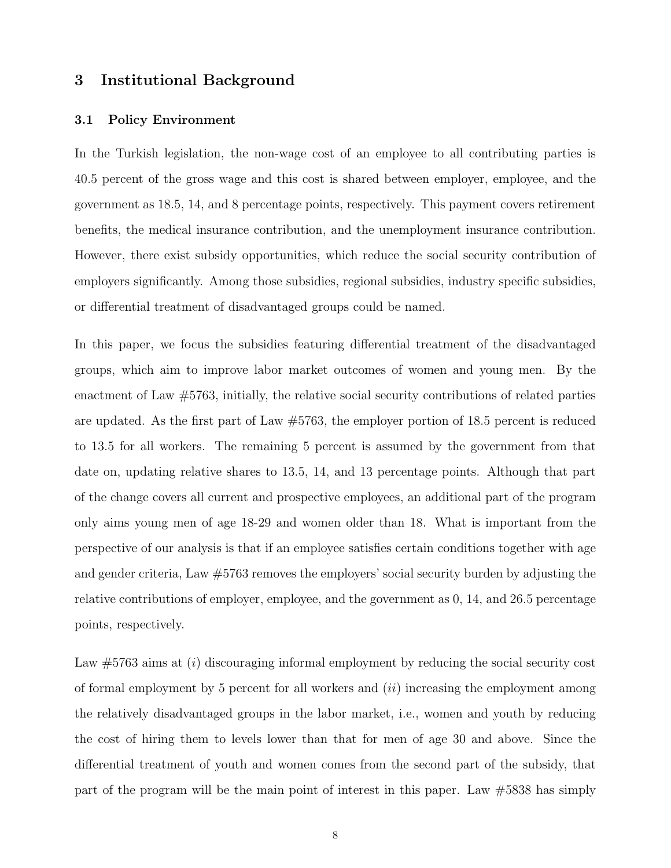### 3 Institutional Background

#### 3.1 Policy Environment

In the Turkish legislation, the non-wage cost of an employee to all contributing parties is 40.5 percent of the gross wage and this cost is shared between employer, employee, and the government as 18.5, 14, and 8 percentage points, respectively. This payment covers retirement benefits, the medical insurance contribution, and the unemployment insurance contribution. However, there exist subsidy opportunities, which reduce the social security contribution of employers significantly. Among those subsidies, regional subsidies, industry specific subsidies, or differential treatment of disadvantaged groups could be named.

In this paper, we focus the subsidies featuring differential treatment of the disadvantaged groups, which aim to improve labor market outcomes of women and young men. By the enactment of Law #5763, initially, the relative social security contributions of related parties are updated. As the first part of Law  $\#5763$ , the employer portion of 18.5 percent is reduced to 13.5 for all workers. The remaining 5 percent is assumed by the government from that date on, updating relative shares to 13.5, 14, and 13 percentage points. Although that part of the change covers all current and prospective employees, an additional part of the program only aims young men of age 18-29 and women older than 18. What is important from the perspective of our analysis is that if an employee satisfies certain conditions together with age and gender criteria, Law #5763 removes the employers' social security burden by adjusting the relative contributions of employer, employee, and the government as 0, 14, and 26.5 percentage points, respectively.

Law  $\#5763$  aims at (i) discouraging informal employment by reducing the social security cost of formal employment by 5 percent for all workers and  $(ii)$  increasing the employment among the relatively disadvantaged groups in the labor market, i.e., women and youth by reducing the cost of hiring them to levels lower than that for men of age 30 and above. Since the differential treatment of youth and women comes from the second part of the subsidy, that part of the program will be the main point of interest in this paper. Law #5838 has simply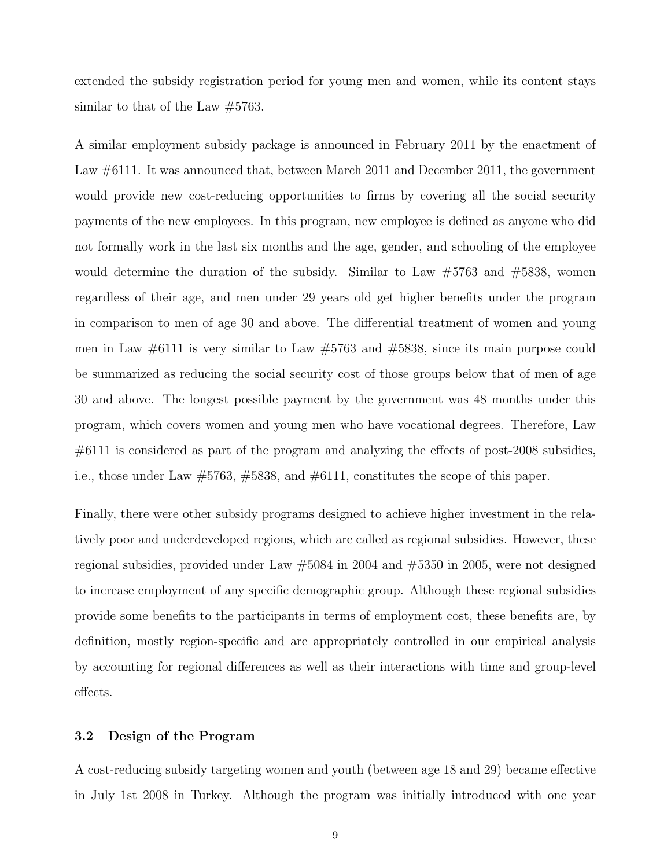extended the subsidy registration period for young men and women, while its content stays similar to that of the Law #5763.

A similar employment subsidy package is announced in February 2011 by the enactment of Law  $\#6111$ . It was announced that, between March 2011 and December 2011, the government would provide new cost-reducing opportunities to firms by covering all the social security payments of the new employees. In this program, new employee is defined as anyone who did not formally work in the last six months and the age, gender, and schooling of the employee would determine the duration of the subsidy. Similar to Law  $\#5763$  and  $\#5838$ , women regardless of their age, and men under 29 years old get higher benefits under the program in comparison to men of age 30 and above. The differential treatment of women and young men in Law  $\#6111$  is very similar to Law  $\#5763$  and  $\#5838$ , since its main purpose could be summarized as reducing the social security cost of those groups below that of men of age 30 and above. The longest possible payment by the government was 48 months under this program, which covers women and young men who have vocational degrees. Therefore, Law #6111 is considered as part of the program and analyzing the effects of post-2008 subsidies, i.e., those under Law #5763, #5838, and #6111, constitutes the scope of this paper.

Finally, there were other subsidy programs designed to achieve higher investment in the relatively poor and underdeveloped regions, which are called as regional subsidies. However, these regional subsidies, provided under Law #5084 in 2004 and #5350 in 2005, were not designed to increase employment of any specific demographic group. Although these regional subsidies provide some benefits to the participants in terms of employment cost, these benefits are, by definition, mostly region-specific and are appropriately controlled in our empirical analysis by accounting for regional differences as well as their interactions with time and group-level effects.

#### 3.2 Design of the Program

A cost-reducing subsidy targeting women and youth (between age 18 and 29) became effective in July 1st 2008 in Turkey. Although the program was initially introduced with one year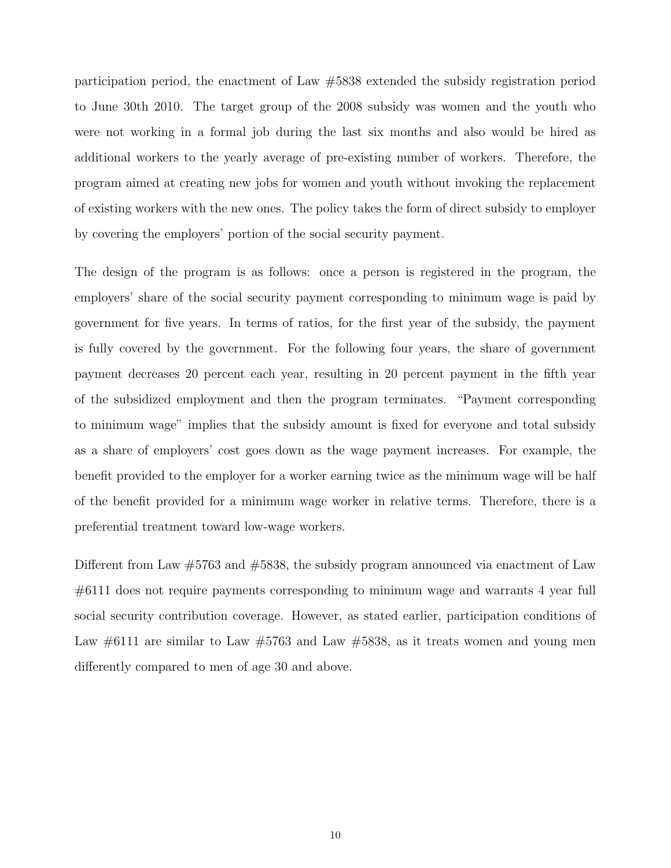participation period, the enactment of Law #5838 extended the subsidy registration period to June 30th 2010. The target group of the 2008 subsidy was women and the youth who were not working in a formal job during the last six months and also would be hired as additional workers to the yearly average of pre-existing number of workers. Therefore, the program aimed at creating new jobs for women and youth without invoking the replacement of existing workers with the new ones. The policy takes the form of direct subsidy to employer by covering the employers' portion of the social security payment.

The design of the program is as follows: once a person is registered in the program, the employers' share of the social security payment corresponding to minimum wage is paid by government for five years. In terms of ratios, for the first year of the subsidy, the payment is fully covered by the government. For the following four years, the share of government payment decreases 20 percent each year, resulting in 20 percent payment in the fifth year of the subsidized employment and then the program terminates. "Payment corresponding to minimum wage" implies that the subsidy amount is fixed for everyone and total subsidy as a share of employers' cost goes down as the wage payment increases. For example, the benefit provided to the employer for a worker earning twice as the minimum wage will be half of the benefit provided for a minimum wage worker in relative terms. Therefore, there is a preferential treatment toward low-wage workers.

Different from Law  $\#5763$  and  $\#5838$ , the subsidy program announced via enactment of Law #6111 does not require payments corresponding to minimum wage and warrants 4 year full social security contribution coverage. However, as stated earlier, participation conditions of Law  $\#6111$  are similar to Law  $\#5763$  and Law  $\#5838$ , as it treats women and young men differently compared to men of age 30 and above.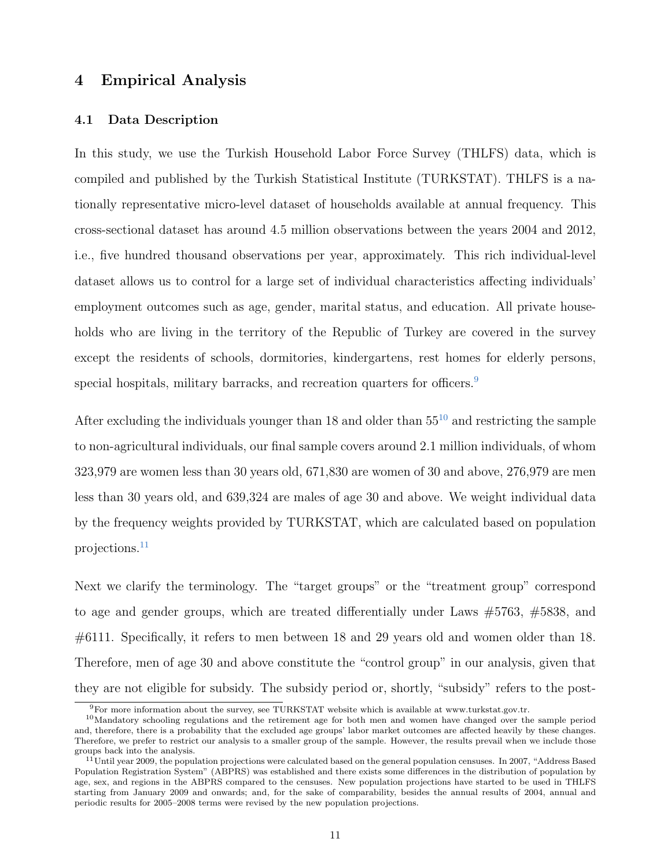### 4 Empirical Analysis

### 4.1 Data Description

In this study, we use the Turkish Household Labor Force Survey (THLFS) data, which is compiled and published by the Turkish Statistical Institute (TURKSTAT). THLFS is a nationally representative micro-level dataset of households available at annual frequency. This cross-sectional dataset has around 4.5 million observations between the years 2004 and 2012, i.e., five hundred thousand observations per year, approximately. This rich individual-level dataset allows us to control for a large set of individual characteristics affecting individuals' employment outcomes such as age, gender, marital status, and education. All private households who are living in the territory of the Republic of Turkey are covered in the survey except the residents of schools, dormitories, kindergartens, rest homes for elderly persons, special hospitals, military barracks, and recreation quarters for officers.<sup>[9](#page--1-0)</sup>

After excluding the individuals younger than  $18$  and older than  $55^{10}$  $55^{10}$  $55^{10}$  and restricting the sample to non-agricultural individuals, our final sample covers around 2.1 million individuals, of whom 323,979 are women less than 30 years old, 671,830 are women of 30 and above, 276,979 are men less than 30 years old, and 639,324 are males of age 30 and above. We weight individual data by the frequency weights provided by TURKSTAT, which are calculated based on population projections.[11](#page--1-0)

Next we clarify the terminology. The "target groups" or the "treatment group" correspond to age and gender groups, which are treated differentially under Laws #5763, #5838, and #6111. Specifically, it refers to men between 18 and 29 years old and women older than 18. Therefore, men of age 30 and above constitute the "control group" in our analysis, given that they are not eligible for subsidy. The subsidy period or, shortly, "subsidy" refers to the post-

<sup>9</sup>For more information about the survey, see TURKSTAT website which is available at www.turkstat.gov.tr.

<sup>10</sup>Mandatory schooling regulations and the retirement age for both men and women have changed over the sample period and, therefore, there is a probability that the excluded age groups' labor market outcomes are affected heavily by these changes. Therefore, we prefer to restrict our analysis to a smaller group of the sample. However, the results prevail when we include those groups back into the analysis.

<sup>&</sup>lt;sup>11</sup>Until year 2009, the population projections were calculated based on the general population censuses. In 2007, "Address Based Population Registration System" (ABPRS) was established and there exists some differences in the distribution of population by age, sex, and regions in the ABPRS compared to the censuses. New population projections have started to be used in THLFS starting from January 2009 and onwards; and, for the sake of comparability, besides the annual results of 2004, annual and periodic results for 2005–2008 terms were revised by the new population projections.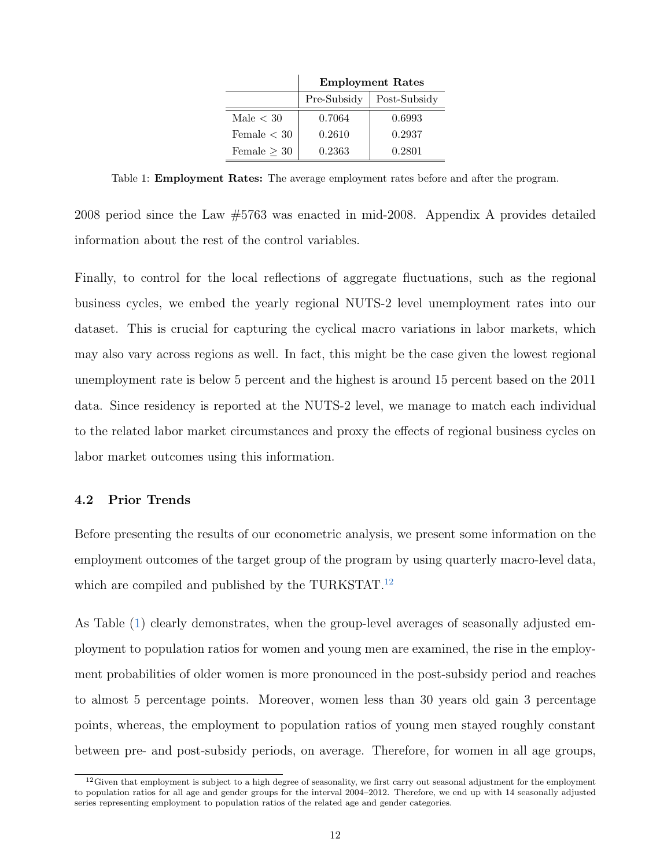|                  | <b>Employment Rates</b> |              |  |  |  |
|------------------|-------------------------|--------------|--|--|--|
|                  | Pre-Subsidy             | Post-Subsidy |  |  |  |
| Male $< 30$      | 0.7064                  | 0.6993       |  |  |  |
| Female $< 30$    | 0.2610                  | 0.2937       |  |  |  |
| Female $\geq 30$ | 0.2363                  | 0.2801       |  |  |  |

<span id="page-13-0"></span>Table 1: Employment Rates: The average employment rates before and after the program.

2008 period since the Law #5763 was enacted in mid-2008. Appendix A provides detailed information about the rest of the control variables.

Finally, to control for the local reflections of aggregate fluctuations, such as the regional business cycles, we embed the yearly regional NUTS-2 level unemployment rates into our dataset. This is crucial for capturing the cyclical macro variations in labor markets, which may also vary across regions as well. In fact, this might be the case given the lowest regional unemployment rate is below 5 percent and the highest is around 15 percent based on the 2011 data. Since residency is reported at the NUTS-2 level, we manage to match each individual to the related labor market circumstances and proxy the effects of regional business cycles on labor market outcomes using this information.

### 4.2 Prior Trends

Before presenting the results of our econometric analysis, we present some information on the employment outcomes of the target group of the program by using quarterly macro-level data, which are compiled and published by the TURKSTAT.<sup>[12](#page--1-0)</sup>

As Table [\(1\)](#page-13-0) clearly demonstrates, when the group-level averages of seasonally adjusted employment to population ratios for women and young men are examined, the rise in the employment probabilities of older women is more pronounced in the post-subsidy period and reaches to almost 5 percentage points. Moreover, women less than 30 years old gain 3 percentage points, whereas, the employment to population ratios of young men stayed roughly constant between pre- and post-subsidy periods, on average. Therefore, for women in all age groups,

 $12$  Given that employment is subject to a high degree of seasonality, we first carry out seasonal adjustment for the employment to population ratios for all age and gender groups for the interval 2004–2012. Therefore, we end up with 14 seasonally adjusted series representing employment to population ratios of the related age and gender categories.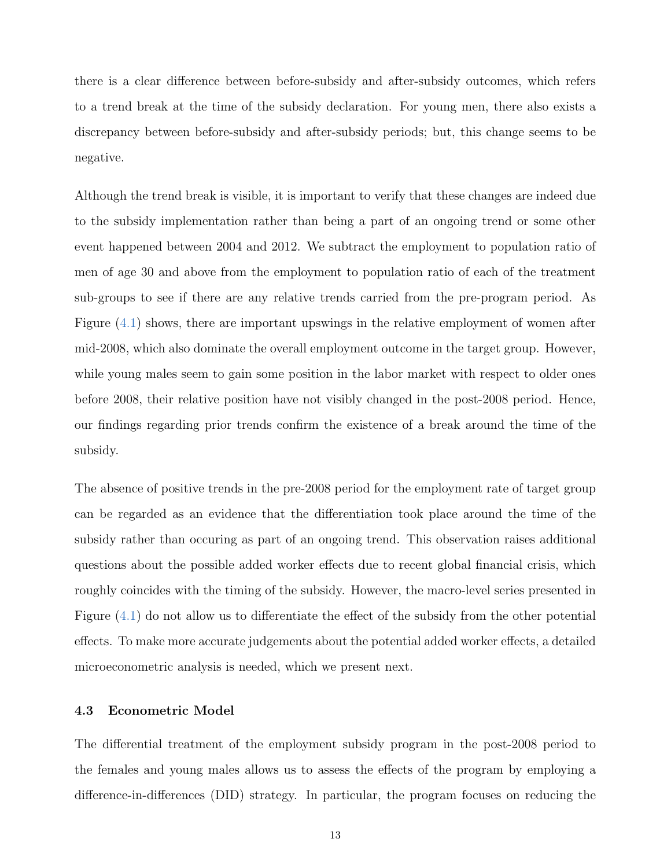there is a clear difference between before-subsidy and after-subsidy outcomes, which refers to a trend break at the time of the subsidy declaration. For young men, there also exists a discrepancy between before-subsidy and after-subsidy periods; but, this change seems to be negative.

Although the trend break is visible, it is important to verify that these changes are indeed due to the subsidy implementation rather than being a part of an ongoing trend or some other event happened between 2004 and 2012. We subtract the employment to population ratio of men of age 30 and above from the employment to population ratio of each of the treatment sub-groups to see if there are any relative trends carried from the pre-program period. As Figure [\(4.1\)](#page-15-0) shows, there are important upswings in the relative employment of women after mid-2008, which also dominate the overall employment outcome in the target group. However, while young males seem to gain some position in the labor market with respect to older ones before 2008, their relative position have not visibly changed in the post-2008 period. Hence, our findings regarding prior trends confirm the existence of a break around the time of the subsidy.

The absence of positive trends in the pre-2008 period for the employment rate of target group can be regarded as an evidence that the differentiation took place around the time of the subsidy rather than occuring as part of an ongoing trend. This observation raises additional questions about the possible added worker effects due to recent global financial crisis, which roughly coincides with the timing of the subsidy. However, the macro-level series presented in Figure [\(4.1\)](#page-15-0) do not allow us to differentiate the effect of the subsidy from the other potential effects. To make more accurate judgements about the potential added worker effects, a detailed microeconometric analysis is needed, which we present next.

#### 4.3 Econometric Model

The differential treatment of the employment subsidy program in the post-2008 period to the females and young males allows us to assess the effects of the program by employing a difference-in-differences (DID) strategy. In particular, the program focuses on reducing the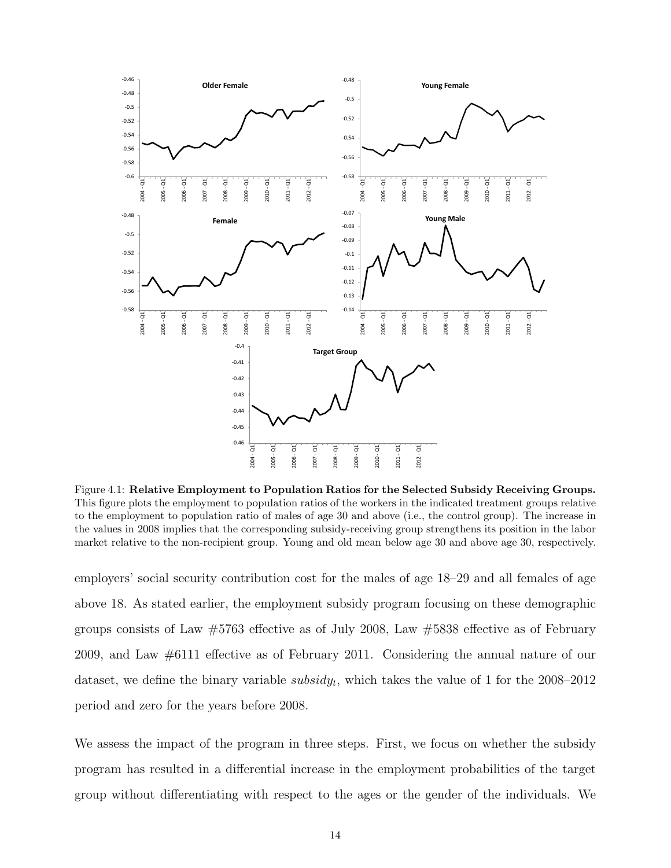<span id="page-15-0"></span>

Figure 4.1: Relative Employment to Population Ratios for the Selected Subsidy Receiving Groups. This figure plots the employment to population ratios of the workers in the indicated treatment groups relative to the employment to population ratio of males of age 30 and above (i.e., the control group). The increase in the values in 2008 implies that the corresponding subsidy-receiving group strengthens its position in the labor market relative to the non-recipient group. Young and old mean below age 30 and above age 30, respectively.

employers' social security contribution cost for the males of age 18–29 and all females of age above 18. As stated earlier, the employment subsidy program focusing on these demographic groups consists of Law  $\#5763$  effective as of July 2008, Law  $\#5838$  effective as of February 2009, and Law #6111 effective as of February 2011. Considering the annual nature of our dataset, we define the binary variable  $subsidy_t$ , which takes the value of 1 for the 2008–2012 period and zero for the years before 2008.

We assess the impact of the program in three steps. First, we focus on whether the subsidy program has resulted in a differential increase in the employment probabilities of the target group without differentiating with respect to the ages or the gender of the individuals. We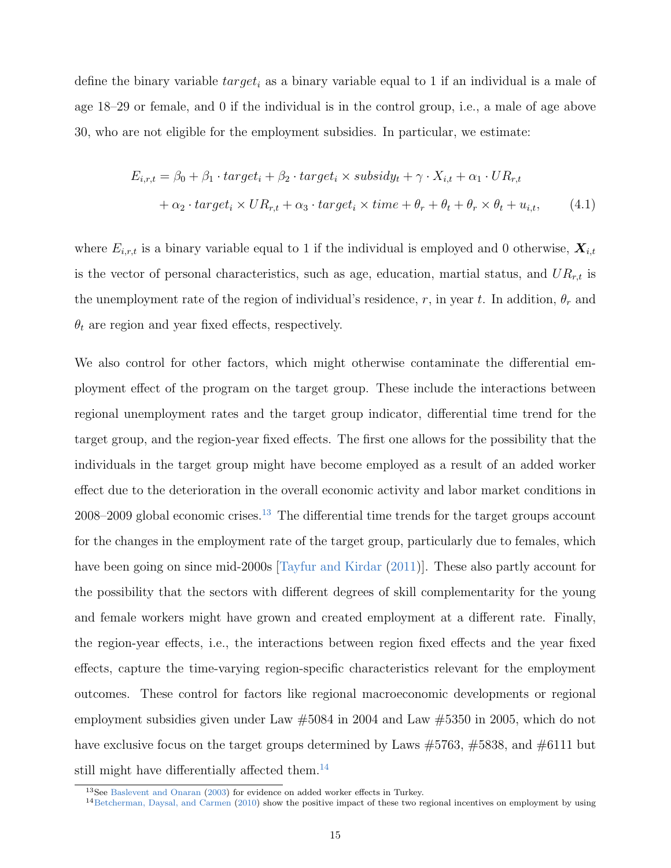define the binary variable  $target_i$  as a binary variable equal to 1 if an individual is a male of age 18–29 or female, and 0 if the individual is in the control group, i.e., a male of age above 30, who are not eligible for the employment subsidies. In particular, we estimate:

<span id="page-16-0"></span>
$$
E_{i,r,t} = \beta_0 + \beta_1 \cdot target_i + \beta_2 \cdot target_i \times subsidy_t + \gamma \cdot X_{i,t} + \alpha_1 \cdot UR_{r,t}
$$
  
+  $\alpha_2 \cdot target_i \times UR_{r,t} + \alpha_3 \cdot target_i \times time + \theta_r + \theta_t + \theta_r \times \theta_t + u_{i,t},$  (4.1)

where  $E_{i,r,t}$  is a binary variable equal to 1 if the individual is employed and 0 otherwise,  $\mathbf{X}_{i,t}$ is the vector of personal characteristics, such as age, education, martial status, and  $UR_{r,t}$  is the unemployment rate of the region of individual's residence, r, in year t. In addition,  $\theta_r$  and  $\theta_t$  are region and year fixed effects, respectively.

We also control for other factors, which might otherwise contaminate the differential employment effect of the program on the target group. These include the interactions between regional unemployment rates and the target group indicator, differential time trend for the target group, and the region-year fixed effects. The first one allows for the possibility that the individuals in the target group might have become employed as a result of an added worker effect due to the deterioration in the overall economic activity and labor market conditions in  $2008-2009$  global economic crises.<sup>[13](#page--1-0)</sup> The differential time trends for the target groups account for the changes in the employment rate of the target group, particularly due to females, which have been going on since mid-2000s [\[Tayfur and Kirdar](#page-29-4) [\(2011\)](#page-29-4)]. These also partly account for the possibility that the sectors with different degrees of skill complementarity for the young and female workers might have grown and created employment at a different rate. Finally, the region-year effects, i.e., the interactions between region fixed effects and the year fixed effects, capture the time-varying region-specific characteristics relevant for the employment outcomes. These control for factors like regional macroeconomic developments or regional employment subsidies given under Law #5084 in 2004 and Law #5350 in 2005, which do not have exclusive focus on the target groups determined by Laws #5763, #5838, and #6111 but still might have differentially affected them.<sup>[14](#page--1-0)</sup>

<sup>13</sup>See [Baslevent and Onaran](#page-27-9) [\(2003\)](#page-27-9) for evidence on added worker effects in Turkey.

 $14$ [Betcherman, Daysal, and Carmen](#page-27-8) [\(2010\)](#page-27-8) show the positive impact of these two regional incentives on employment by using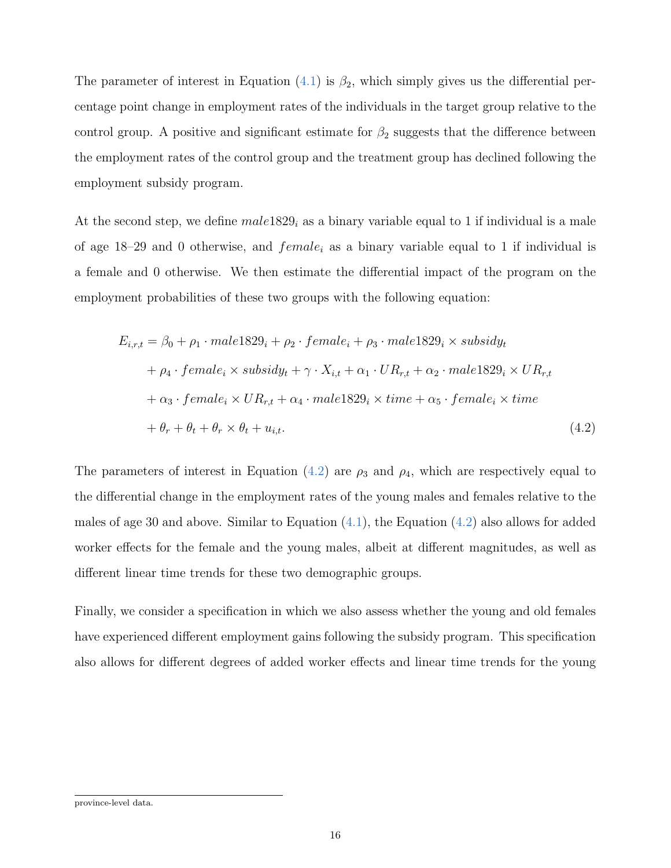The parameter of interest in Equation  $(4.1)$  is  $\beta_2$ , which simply gives us the differential percentage point change in employment rates of the individuals in the target group relative to the control group. A positive and significant estimate for  $\beta_2$  suggests that the difference between the employment rates of the control group and the treatment group has declined following the employment subsidy program.

At the second step, we define  $male1829<sub>i</sub>$  as a binary variable equal to 1 if individual is a male of age 18–29 and 0 otherwise, and  $female_i$  as a binary variable equal to 1 if individual is a female and 0 otherwise. We then estimate the differential impact of the program on the employment probabilities of these two groups with the following equation:

<span id="page-17-0"></span>
$$
E_{i,r,t} = \beta_0 + \rho_1 \cdot male1829_i + \rho_2 \cdot female_i + \rho_3 \cdot male1829_i \times subsidy_t
$$
  
+  $\rho_4 \cdot female_i \times subsidy_t + \gamma \cdot X_{i,t} + \alpha_1 \cdot UR_{r,t} + \alpha_2 \cdot male1829_i \times UR_{r,t}$   
+  $\alpha_3 \cdot female_i \times UR_{r,t} + \alpha_4 \cdot male1829_i \times time + \alpha_5 \cdot female_i \times time$   
+  $\theta_r + \theta_t + \theta_r \times \theta_t + u_{i,t}$ . (4.2)

The parameters of interest in Equation [\(4.2\)](#page-17-0) are  $\rho_3$  and  $\rho_4$ , which are respectively equal to the differential change in the employment rates of the young males and females relative to the males of age 30 and above. Similar to Equation  $(4.1)$ , the Equation  $(4.2)$  also allows for added worker effects for the female and the young males, albeit at different magnitudes, as well as different linear time trends for these two demographic groups.

Finally, we consider a specification in which we also assess whether the young and old females have experienced different employment gains following the subsidy program. This specification also allows for different degrees of added worker effects and linear time trends for the young

province-level data.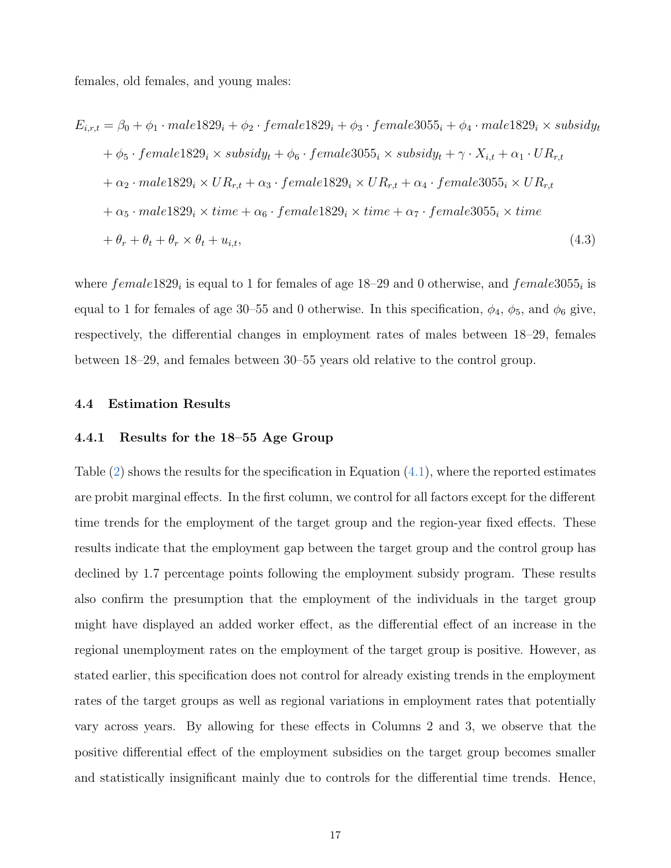females, old females, and young males:

$$
E_{i,r,t} = \beta_0 + \phi_1 \cdot male1829_i + \phi_2 \cdot female1829_i + \phi_3 \cdot female3055_i + \phi_4 \cdot male1829_i \times subsidy_t
$$
  
+  $\phi_5 \cdot female1829_i \times subsidy_t + \phi_6 \cdot female3055_i \times subsidy_t + \gamma \cdot X_{i,t} + \alpha_1 \cdot UR_{r,t}$   
+  $\alpha_2 \cdot male1829_i \times UR_{r,t} + \alpha_3 \cdot female1829_i \times UR_{r,t} + \alpha_4 \cdot female3055_i \times UR_{r,t}$   
+  $\alpha_5 \cdot male1829_i \times time + \alpha_6 \cdot female1829_i \times time + \alpha_7 \cdot female3055_i \times time$   
+  $\theta_r + \theta_t + \theta_r \times \theta_t + u_{i,t}$ , (4.3)

where  $female1829<sub>i</sub>$  is equal to 1 for females of age 18–29 and 0 otherwise, and  $female3055<sub>i</sub>$  is equal to 1 for females of age 30–55 and 0 otherwise. In this specification,  $\phi_4$ ,  $\phi_5$ , and  $\phi_6$  give, respectively, the differential changes in employment rates of males between 18–29, females between 18–29, and females between 30–55 years old relative to the control group.

#### 4.4 Estimation Results

#### 4.4.1 Results for the 18–55 Age Group

Table [\(2\)](#page-31-0) shows the results for the specification in Equation [\(4.1\)](#page-16-0), where the reported estimates are probit marginal effects. In the first column, we control for all factors except for the different time trends for the employment of the target group and the region-year fixed effects. These results indicate that the employment gap between the target group and the control group has declined by 1.7 percentage points following the employment subsidy program. These results also confirm the presumption that the employment of the individuals in the target group might have displayed an added worker effect, as the differential effect of an increase in the regional unemployment rates on the employment of the target group is positive. However, as stated earlier, this specification does not control for already existing trends in the employment rates of the target groups as well as regional variations in employment rates that potentially vary across years. By allowing for these effects in Columns 2 and 3, we observe that the positive differential effect of the employment subsidies on the target group becomes smaller and statistically insignificant mainly due to controls for the differential time trends. Hence,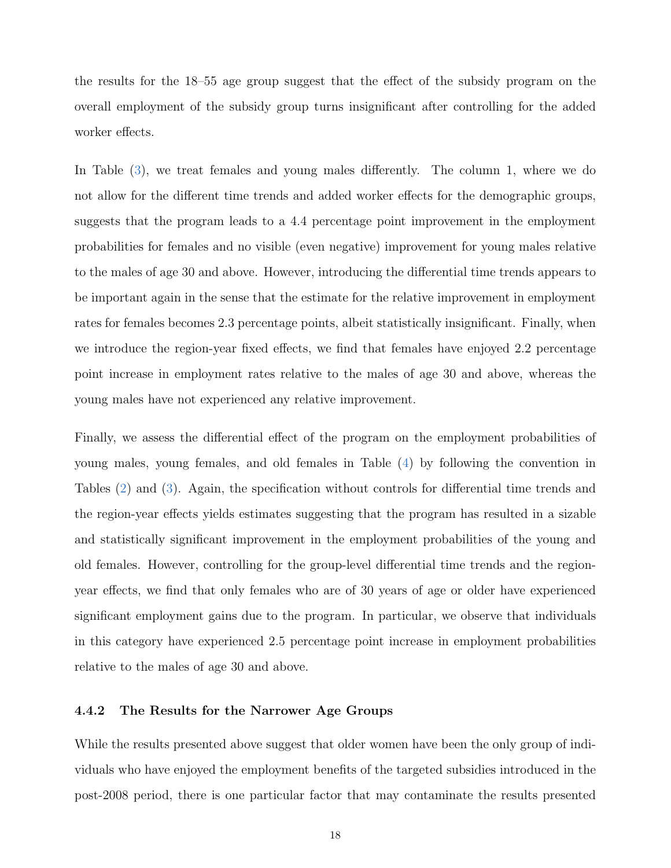the results for the 18–55 age group suggest that the effect of the subsidy program on the overall employment of the subsidy group turns insignificant after controlling for the added worker effects.

In Table [\(3\)](#page-32-0), we treat females and young males differently. The column 1, where we do not allow for the different time trends and added worker effects for the demographic groups, suggests that the program leads to a 4.4 percentage point improvement in the employment probabilities for females and no visible (even negative) improvement for young males relative to the males of age 30 and above. However, introducing the differential time trends appears to be important again in the sense that the estimate for the relative improvement in employment rates for females becomes 2.3 percentage points, albeit statistically insignificant. Finally, when we introduce the region-year fixed effects, we find that females have enjoyed 2.2 percentage point increase in employment rates relative to the males of age 30 and above, whereas the young males have not experienced any relative improvement.

Finally, we assess the differential effect of the program on the employment probabilities of young males, young females, and old females in Table [\(4\)](#page-33-0) by following the convention in Tables [\(2\)](#page-31-0) and [\(3\)](#page-32-0). Again, the specification without controls for differential time trends and the region-year effects yields estimates suggesting that the program has resulted in a sizable and statistically significant improvement in the employment probabilities of the young and old females. However, controlling for the group-level differential time trends and the regionyear effects, we find that only females who are of 30 years of age or older have experienced significant employment gains due to the program. In particular, we observe that individuals in this category have experienced 2.5 percentage point increase in employment probabilities relative to the males of age 30 and above.

#### 4.4.2 The Results for the Narrower Age Groups

While the results presented above suggest that older women have been the only group of individuals who have enjoyed the employment benefits of the targeted subsidies introduced in the post-2008 period, there is one particular factor that may contaminate the results presented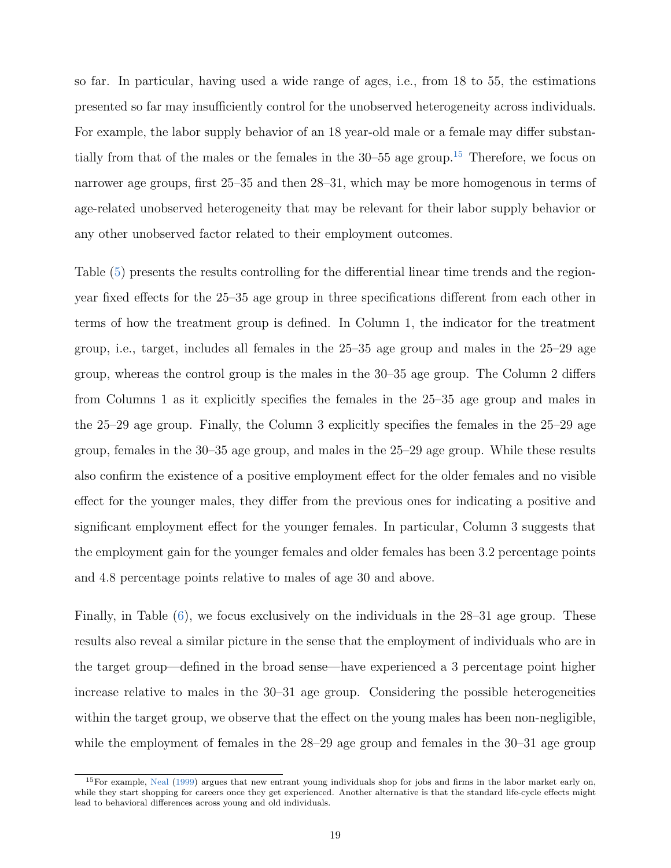so far. In particular, having used a wide range of ages, i.e., from 18 to 55, the estimations presented so far may insufficiently control for the unobserved heterogeneity across individuals. For example, the labor supply behavior of an 18 year-old male or a female may differ substantially from that of the males or the females in the  $30-55$  age group.<sup>[15](#page--1-0)</sup> Therefore, we focus on narrower age groups, first 25–35 and then 28–31, which may be more homogenous in terms of age-related unobserved heterogeneity that may be relevant for their labor supply behavior or any other unobserved factor related to their employment outcomes.

Table [\(5\)](#page-34-0) presents the results controlling for the differential linear time trends and the regionyear fixed effects for the 25–35 age group in three specifications different from each other in terms of how the treatment group is defined. In Column 1, the indicator for the treatment group, i.e., target, includes all females in the 25–35 age group and males in the 25–29 age group, whereas the control group is the males in the 30–35 age group. The Column 2 differs from Columns 1 as it explicitly specifies the females in the 25–35 age group and males in the 25–29 age group. Finally, the Column 3 explicitly specifies the females in the 25–29 age group, females in the 30–35 age group, and males in the 25–29 age group. While these results also confirm the existence of a positive employment effect for the older females and no visible effect for the younger males, they differ from the previous ones for indicating a positive and significant employment effect for the younger females. In particular, Column 3 suggests that the employment gain for the younger females and older females has been 3.2 percentage points and 4.8 percentage points relative to males of age 30 and above.

Finally, in Table [\(6\)](#page-35-0), we focus exclusively on the individuals in the 28–31 age group. These results also reveal a similar picture in the sense that the employment of individuals who are in the target group—defined in the broad sense—have experienced a 3 percentage point higher increase relative to males in the 30–31 age group. Considering the possible heterogeneities within the target group, we observe that the effect on the young males has been non-negligible, while the employment of females in the 28–29 age group and females in the 30–31 age group

<sup>&</sup>lt;sup>15</sup>For example, [Neal](#page-28-9) [\(1999\)](#page-28-9) argues that new entrant young individuals shop for jobs and firms in the labor market early on, while they start shopping for careers once they get experienced. Another alternative is that the standard life-cycle effects might lead to behavioral differences across young and old individuals.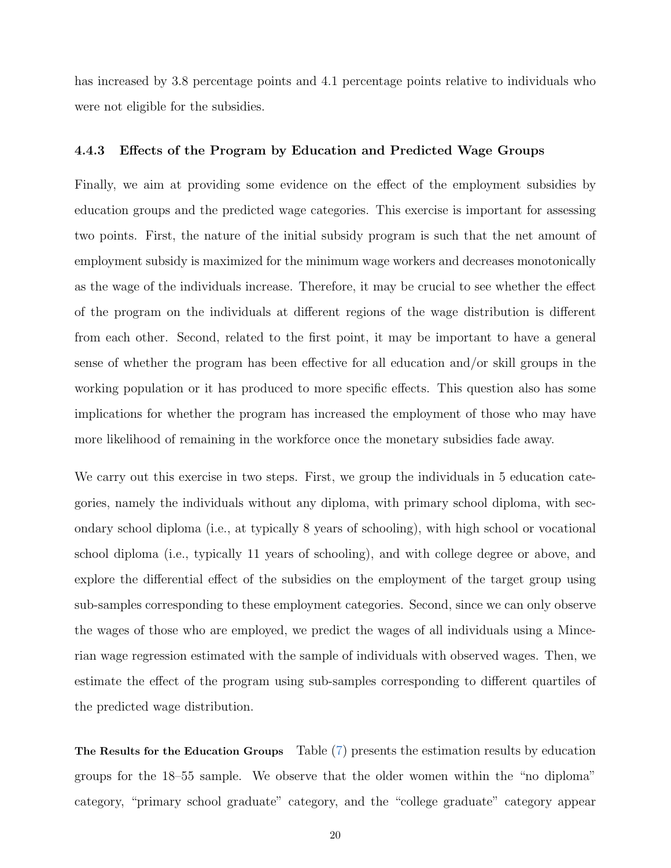has increased by 3.8 percentage points and 4.1 percentage points relative to individuals who were not eligible for the subsidies.

#### 4.4.3 Effects of the Program by Education and Predicted Wage Groups

Finally, we aim at providing some evidence on the effect of the employment subsidies by education groups and the predicted wage categories. This exercise is important for assessing two points. First, the nature of the initial subsidy program is such that the net amount of employment subsidy is maximized for the minimum wage workers and decreases monotonically as the wage of the individuals increase. Therefore, it may be crucial to see whether the effect of the program on the individuals at different regions of the wage distribution is different from each other. Second, related to the first point, it may be important to have a general sense of whether the program has been effective for all education and/or skill groups in the working population or it has produced to more specific effects. This question also has some implications for whether the program has increased the employment of those who may have more likelihood of remaining in the workforce once the monetary subsidies fade away.

We carry out this exercise in two steps. First, we group the individuals in 5 education categories, namely the individuals without any diploma, with primary school diploma, with secondary school diploma (i.e., at typically 8 years of schooling), with high school or vocational school diploma (i.e., typically 11 years of schooling), and with college degree or above, and explore the differential effect of the subsidies on the employment of the target group using sub-samples corresponding to these employment categories. Second, since we can only observe the wages of those who are employed, we predict the wages of all individuals using a Mincerian wage regression estimated with the sample of individuals with observed wages. Then, we estimate the effect of the program using sub-samples corresponding to different quartiles of the predicted wage distribution.

The Results for the Education Groups Table [\(7\)](#page-36-0) presents the estimation results by education groups for the 18–55 sample. We observe that the older women within the "no diploma" category, "primary school graduate" category, and the "college graduate" category appear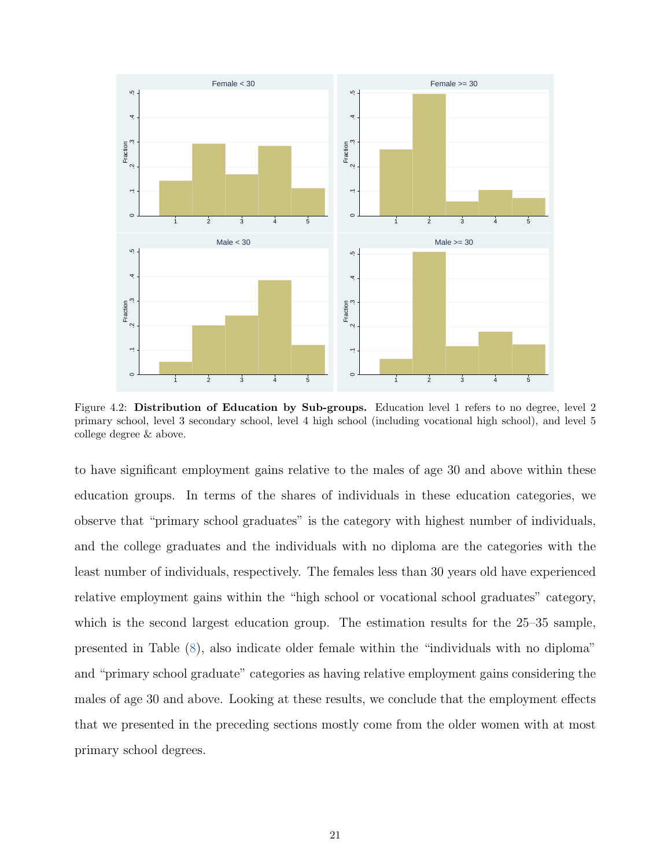

Figure 4.2: Distribution of Education by Sub-groups. Education level 1 refers to no degree, level 2 primary school, level 3 secondary school, level 4 high school (including vocational high school), and level 5 college degree & above.

to have significant employment gains relative to the males of age 30 and above within these education groups. In terms of the shares of individuals in these education categories, we observe that "primary school graduates" is the category with highest number of individuals, and the college graduates and the individuals with no diploma are the categories with the least number of individuals, respectively. The females less than 30 years old have experienced relative employment gains within the "high school or vocational school graduates" category, which is the second largest education group. The estimation results for the 25–35 sample, presented in Table [\(8\)](#page-37-0), also indicate older female within the "individuals with no diploma" and "primary school graduate" categories as having relative employment gains considering the males of age 30 and above. Looking at these results, we conclude that the employment effects that we presented in the preceding sections mostly come from the older women with at most primary school degrees.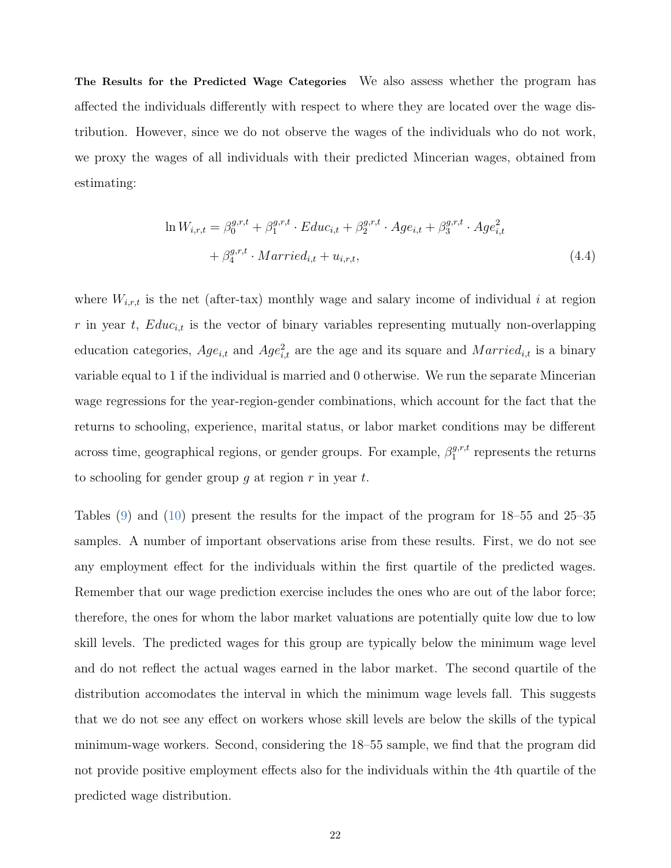The Results for the Predicted Wage Categories We also assess whether the program has affected the individuals differently with respect to where they are located over the wage distribution. However, since we do not observe the wages of the individuals who do not work, we proxy the wages of all individuals with their predicted Mincerian wages, obtained from estimating:

$$
\ln W_{i,r,t} = \beta_0^{g,r,t} + \beta_1^{g,r,t} \cdot Educ_{i,t} + \beta_2^{g,r,t} \cdot Age_{i,t} + \beta_3^{g,r,t} \cdot Age_{i,t}^2 + \beta_4^{g,r,t} \cdot Married_{i,t} + u_{i,r,t},
$$
\n(4.4)

where  $W_{i,r,t}$  is the net (after-tax) monthly wage and salary income of individual i at region  $r$  in year  $t$ ,  $Educ_{i,t}$  is the vector of binary variables representing mutually non-overlapping education categories,  $Age_{i,t}$  and  $Age_{i,t}^2$  are the age and its square and  $Married_{i,t}$  is a binary variable equal to 1 if the individual is married and 0 otherwise. We run the separate Mincerian wage regressions for the year-region-gender combinations, which account for the fact that the returns to schooling, experience, marital status, or labor market conditions may be different across time, geographical regions, or gender groups. For example,  $\beta_1^{g,r,t}$  $i_1^{g,r,t}$  represents the returns to schooling for gender group q at region  $r$  in year  $t$ .

Tables [\(9\)](#page-38-0) and [\(10\)](#page-39-0) present the results for the impact of the program for 18–55 and 25–35 samples. A number of important observations arise from these results. First, we do not see any employment effect for the individuals within the first quartile of the predicted wages. Remember that our wage prediction exercise includes the ones who are out of the labor force; therefore, the ones for whom the labor market valuations are potentially quite low due to low skill levels. The predicted wages for this group are typically below the minimum wage level and do not reflect the actual wages earned in the labor market. The second quartile of the distribution accomodates the interval in which the minimum wage levels fall. This suggests that we do not see any effect on workers whose skill levels are below the skills of the typical minimum-wage workers. Second, considering the 18–55 sample, we find that the program did not provide positive employment effects also for the individuals within the 4th quartile of the predicted wage distribution.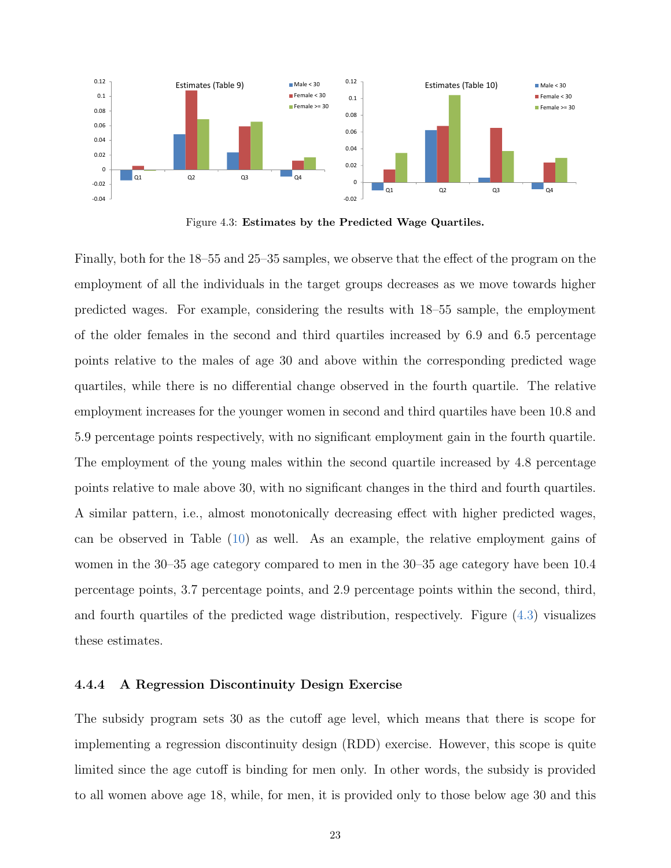<span id="page-24-0"></span>

Figure 4.3: Estimates by the Predicted Wage Quartiles.

Finally, both for the 18–55 and 25–35 samples, we observe that the effect of the program on the employment of all the individuals in the target groups decreases as we move towards higher predicted wages. For example, considering the results with 18–55 sample, the employment of the older females in the second and third quartiles increased by 6.9 and 6.5 percentage points relative to the males of age 30 and above within the corresponding predicted wage quartiles, while there is no differential change observed in the fourth quartile. The relative employment increases for the younger women in second and third quartiles have been 10.8 and 5.9 percentage points respectively, with no significant employment gain in the fourth quartile. The employment of the young males within the second quartile increased by 4.8 percentage points relative to male above 30, with no significant changes in the third and fourth quartiles. A similar pattern, i.e., almost monotonically decreasing effect with higher predicted wages, can be observed in Table [\(10\)](#page-39-0) as well. As an example, the relative employment gains of women in the 30–35 age category compared to men in the 30–35 age category have been 10.4 percentage points, 3.7 percentage points, and 2.9 percentage points within the second, third, and fourth quartiles of the predicted wage distribution, respectively. Figure [\(4.3\)](#page-24-0) visualizes these estimates.

#### 4.4.4 A Regression Discontinuity Design Exercise

The subsidy program sets 30 as the cutoff age level, which means that there is scope for implementing a regression discontinuity design (RDD) exercise. However, this scope is quite limited since the age cutoff is binding for men only. In other words, the subsidy is provided to all women above age 18, while, for men, it is provided only to those below age 30 and this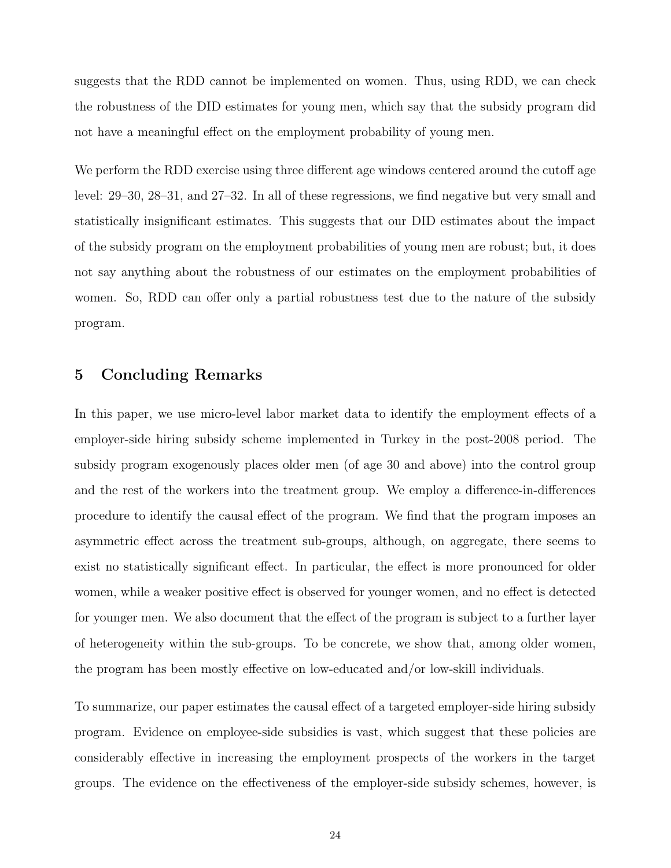suggests that the RDD cannot be implemented on women. Thus, using RDD, we can check the robustness of the DID estimates for young men, which say that the subsidy program did not have a meaningful effect on the employment probability of young men.

We perform the RDD exercise using three different age windows centered around the cutoff age level: 29–30, 28–31, and 27–32. In all of these regressions, we find negative but very small and statistically insignificant estimates. This suggests that our DID estimates about the impact of the subsidy program on the employment probabilities of young men are robust; but, it does not say anything about the robustness of our estimates on the employment probabilities of women. So, RDD can offer only a partial robustness test due to the nature of the subsidy program.

### 5 Concluding Remarks

In this paper, we use micro-level labor market data to identify the employment effects of a employer-side hiring subsidy scheme implemented in Turkey in the post-2008 period. The subsidy program exogenously places older men (of age 30 and above) into the control group and the rest of the workers into the treatment group. We employ a difference-in-differences procedure to identify the causal effect of the program. We find that the program imposes an asymmetric effect across the treatment sub-groups, although, on aggregate, there seems to exist no statistically significant effect. In particular, the effect is more pronounced for older women, while a weaker positive effect is observed for younger women, and no effect is detected for younger men. We also document that the effect of the program is subject to a further layer of heterogeneity within the sub-groups. To be concrete, we show that, among older women, the program has been mostly effective on low-educated and/or low-skill individuals.

To summarize, our paper estimates the causal effect of a targeted employer-side hiring subsidy program. Evidence on employee-side subsidies is vast, which suggest that these policies are considerably effective in increasing the employment prospects of the workers in the target groups. The evidence on the effectiveness of the employer-side subsidy schemes, however, is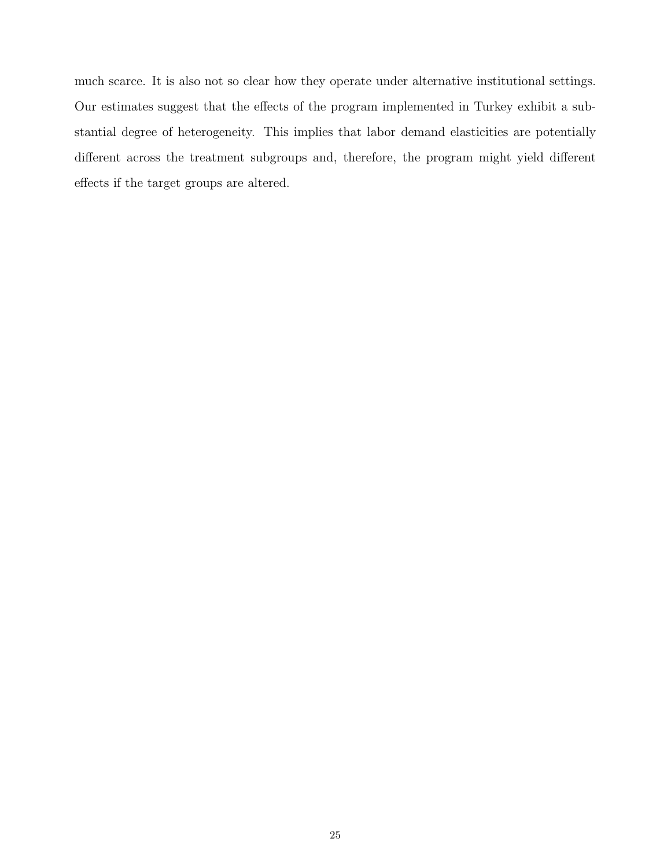much scarce. It is also not so clear how they operate under alternative institutional settings. Our estimates suggest that the effects of the program implemented in Turkey exhibit a substantial degree of heterogeneity. This implies that labor demand elasticities are potentially different across the treatment subgroups and, therefore, the program might yield different effects if the target groups are altered.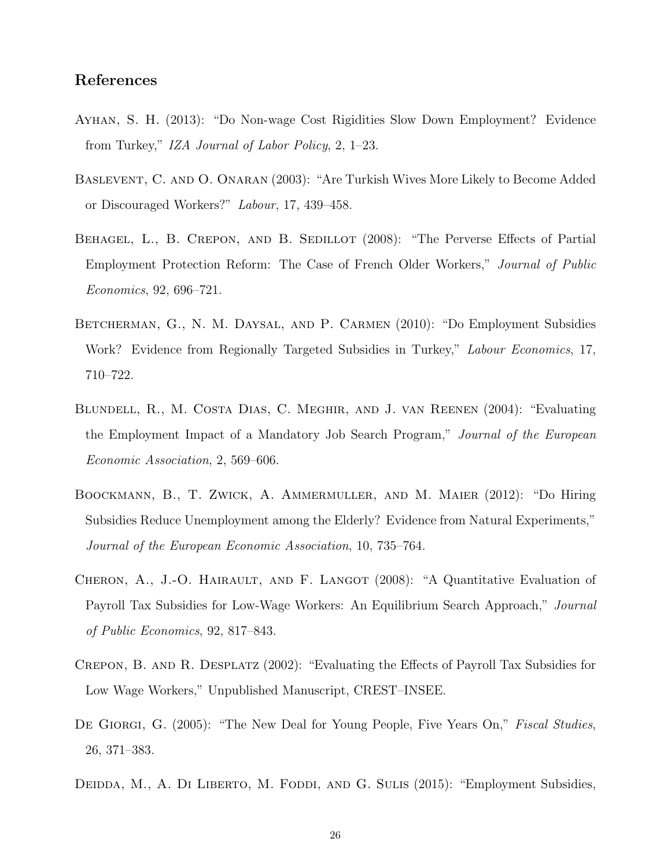## References

- <span id="page-27-7"></span>Ayhan, S. H. (2013): "Do Non-wage Cost Rigidities Slow Down Employment? Evidence from Turkey," IZA Journal of Labor Policy, 2, 1–23.
- <span id="page-27-9"></span>Baslevent, C. and O. Onaran (2003): "Are Turkish Wives More Likely to Become Added or Discouraged Workers?" Labour, 17, 439–458.
- <span id="page-27-6"></span>BEHAGEL, L., B. CREPON, AND B. SEDILLOT (2008): "The Perverse Effects of Partial Employment Protection Reform: The Case of French Older Workers," Journal of Public Economics, 92, 696–721.
- <span id="page-27-8"></span>BETCHERMAN, G., N. M. DAYSAL, AND P. CARMEN (2010): "Do Employment Subsidies Work? Evidence from Regionally Targeted Subsidies in Turkey," *Labour Economics*, 17, 710–722.
- <span id="page-27-2"></span>Blundell, R., M. Costa Dias, C. Meghir, and J. van Reenen (2004): "Evaluating the Employment Impact of a Mandatory Job Search Program," Journal of the European Economic Association, 2, 569–606.
- <span id="page-27-4"></span>Boockmann, B., T. Zwick, A. Ammermuller, and M. Maier (2012): "Do Hiring Subsidies Reduce Unemployment among the Elderly? Evidence from Natural Experiments," Journal of the European Economic Association, 10, 735–764.
- <span id="page-27-1"></span>CHERON, A., J.-O. HAIRAULT, AND F. LANGOT (2008): "A Quantitative Evaluation of Payroll Tax Subsidies for Low-Wage Workers: An Equilibrium Search Approach," Journal of Public Economics, 92, 817–843.
- <span id="page-27-0"></span>Crepon, B. and R. Desplatz (2002): "Evaluating the Effects of Payroll Tax Subsidies for Low Wage Workers," Unpublished Manuscript, CREST–INSEE.
- <span id="page-27-5"></span>DE GIORGI, G. (2005): "The New Deal for Young People, Five Years On," Fiscal Studies, 26, 371–383.
- <span id="page-27-3"></span>DEIDDA, M., A. DI LIBERTO, M. FODDI, AND G. SULIS (2015): "Employment Subsidies,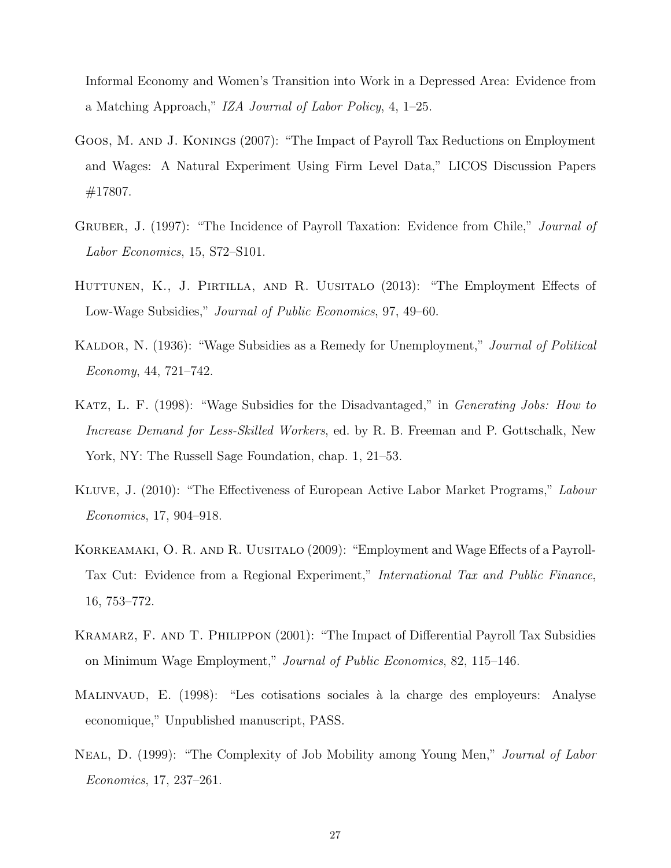Informal Economy and Women's Transition into Work in a Depressed Area: Evidence from a Matching Approach," IZA Journal of Labor Policy, 4, 1–25.

- <span id="page-28-5"></span>Goos, M. and J. Konings (2007): "The Impact of Payroll Tax Reductions on Employment and Wages: A Natural Experiment Using Firm Level Data," LICOS Discussion Papers #17807.
- <span id="page-28-7"></span>GRUBER, J. (1997): "The Incidence of Payroll Taxation: Evidence from Chile," Journal of Labor Economics, 15, S72–S101.
- <span id="page-28-6"></span>HUTTUNEN, K., J. PIRTILLA, AND R. UUSITALO (2013): "The Employment Effects of Low-Wage Subsidies," Journal of Public Economics, 97, 49–60.
- <span id="page-28-1"></span>KALDOR, N. (1936): "Wage Subsidies as a Remedy for Unemployment," *Journal of Political* Economy, 44, 721–742.
- <span id="page-28-2"></span>KATZ, L. F. (1998): "Wage Subsidies for the Disadvantaged," in *Generating Jobs: How to* Increase Demand for Less-Skilled Workers, ed. by R. B. Freeman and P. Gottschalk, New York, NY: The Russell Sage Foundation, chap. 1, 21–53.
- <span id="page-28-0"></span>Kluve, J. (2010): "The Effectiveness of European Active Labor Market Programs," Labour Economics, 17, 904–918.
- <span id="page-28-8"></span>KORKEAMAKI, O. R. AND R. UUSITALO (2009): "Employment and Wage Effects of a Payroll-Tax Cut: Evidence from a Regional Experiment," International Tax and Public Finance, 16, 753–772.
- <span id="page-28-4"></span>Kramarz, F. and T. Philippon (2001): "The Impact of Differential Payroll Tax Subsidies on Minimum Wage Employment," Journal of Public Economics, 82, 115–146.
- <span id="page-28-3"></span>MALINVAUD, E. (1998): "Les cotisations sociales à la charge des employeurs: Analyse economique," Unpublished manuscript, PASS.
- <span id="page-28-9"></span>Neal, D. (1999): "The Complexity of Job Mobility among Young Men," Journal of Labor Economics, 17, 237–261.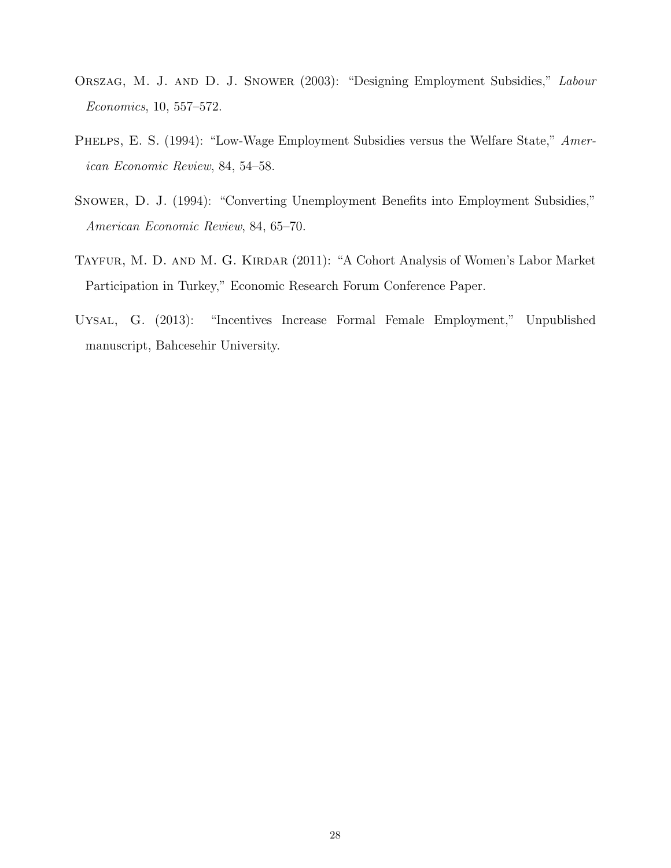- <span id="page-29-2"></span>Orszag, M. J. and D. J. Snower (2003): "Designing Employment Subsidies," Labour Economics, 10, 557–572.
- <span id="page-29-0"></span>PHELPS, E. S. (1994): "Low-Wage Employment Subsidies versus the Welfare State," American Economic Review, 84, 54–58.
- <span id="page-29-1"></span>Snower, D. J. (1994): "Converting Unemployment Benefits into Employment Subsidies," American Economic Review, 84, 65–70.
- <span id="page-29-4"></span>TAYFUR, M. D. AND M. G. KIRDAR (2011): "A Cohort Analysis of Women's Labor Market Participation in Turkey," Economic Research Forum Conference Paper.
- <span id="page-29-3"></span>Uysal, G. (2013): "Incentives Increase Formal Female Employment," Unpublished manuscript, Bahcesehir University.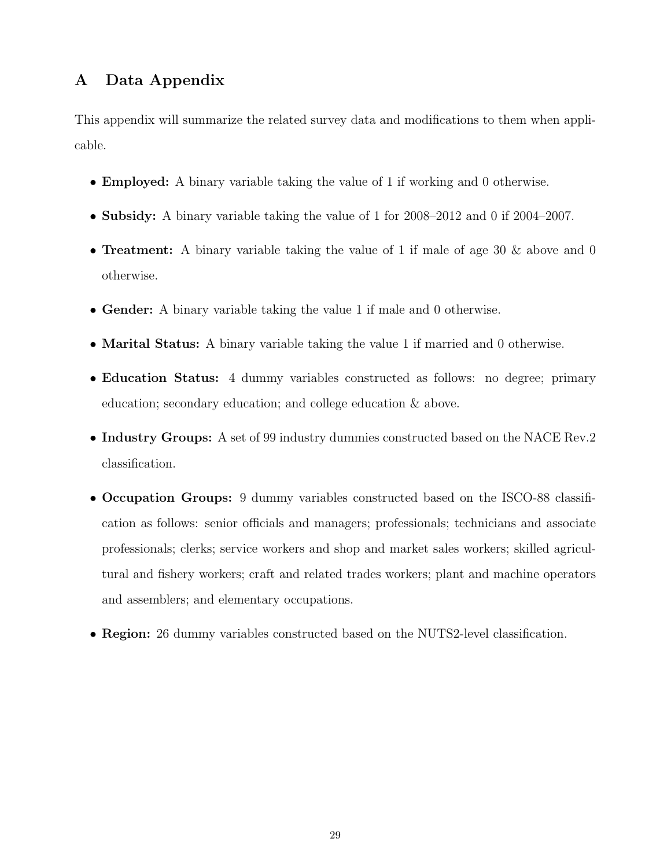## A Data Appendix

This appendix will summarize the related survey data and modifications to them when applicable.

- Employed: A binary variable taking the value of 1 if working and 0 otherwise.
- Subsidy: A binary variable taking the value of 1 for 2008–2012 and 0 if 2004–2007.
- **Treatment:** A binary variable taking the value of 1 if male of age 30  $\&$  above and 0 otherwise.
- Gender: A binary variable taking the value 1 if male and 0 otherwise.
- Marital Status: A binary variable taking the value 1 if married and 0 otherwise.
- Education Status: 4 dummy variables constructed as follows: no degree; primary education; secondary education; and college education & above.
- Industry Groups: A set of 99 industry dummies constructed based on the NACE Rev.2 classification.
- Occupation Groups: 9 dummy variables constructed based on the ISCO-88 classification as follows: senior officials and managers; professionals; technicians and associate professionals; clerks; service workers and shop and market sales workers; skilled agricultural and fishery workers; craft and related trades workers; plant and machine operators and assemblers; and elementary occupations.
- Region: 26 dummy variables constructed based on the NUTS2-level classification.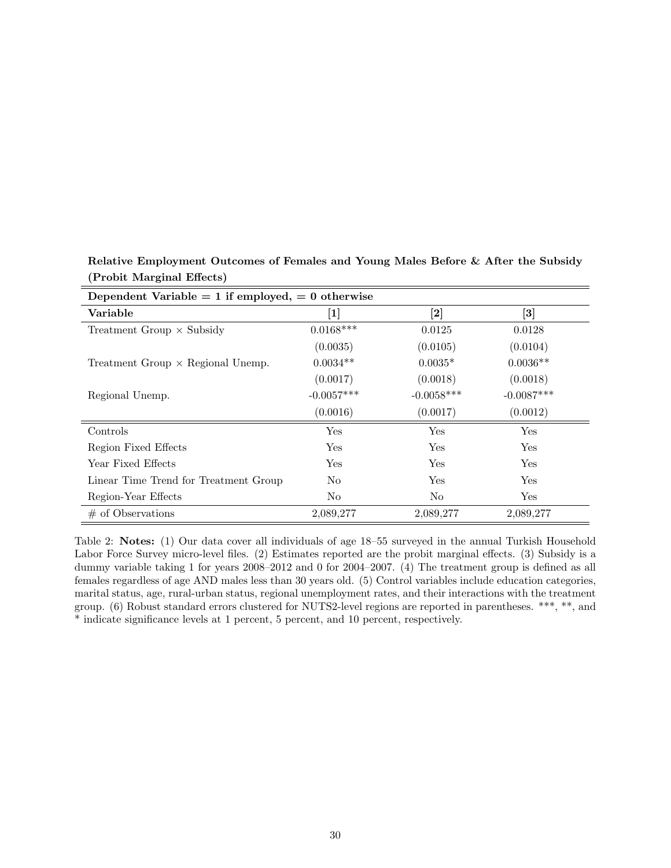| Dependent Variable $= 1$ if employed, $= 0$ otherwise |              |                   |                      |  |  |  |  |
|-------------------------------------------------------|--------------|-------------------|----------------------|--|--|--|--|
| Variable                                              | $\bm{[1]}$   | $\left[ 2\right]$ | $\left[ 3\right]$    |  |  |  |  |
| Treatment Group $\times$ Subsidy                      | $0.0168***$  | 0.0125            | 0.0128               |  |  |  |  |
|                                                       | (0.0035)     | (0.0105)          | (0.0104)             |  |  |  |  |
| Treatment Group $\times$ Regional Unemp.              | $0.0034**$   | $0.0035*$         | $0.0036**$           |  |  |  |  |
|                                                       | (0.0017)     | (0.0018)          | (0.0018)             |  |  |  |  |
| Regional Unemp.                                       | $-0.0057***$ | $-0.0058***$      | $-0.0087***$         |  |  |  |  |
|                                                       | (0.0016)     | (0.0017)          | (0.0012)             |  |  |  |  |
| Controls                                              | Yes          | Yes               | Yes                  |  |  |  |  |
| Region Fixed Effects                                  | Yes          | Yes               | $\operatorname{Yes}$ |  |  |  |  |
| Year Fixed Effects                                    | Yes          | Yes               | $\operatorname{Yes}$ |  |  |  |  |
| Linear Time Trend for Treatment Group                 | No           | Yes               | $\operatorname{Yes}$ |  |  |  |  |
| Region-Year Effects                                   | No           | No                | Yes                  |  |  |  |  |
| $\#$ of Observations                                  | 2,089,277    | 2,089,277         | 2,089,277            |  |  |  |  |

<span id="page-31-0"></span>Relative Employment Outcomes of Females and Young Males Before & After the Subsidy (Probit Marginal Effects)

Table 2: Notes: (1) Our data cover all individuals of age 18–55 surveyed in the annual Turkish Household Labor Force Survey micro-level files. (2) Estimates reported are the probit marginal effects. (3) Subsidy is a dummy variable taking 1 for years 2008–2012 and 0 for 2004–2007. (4) The treatment group is defined as all females regardless of age AND males less than 30 years old. (5) Control variables include education categories, marital status, age, rural-urban status, regional unemployment rates, and their interactions with the treatment group. (6) Robust standard errors clustered for NUTS2-level regions are reported in parentheses. \*\*\*, \*\*, and \* indicate significance levels at 1 percent, 5 percent, and 10 percent, respectively.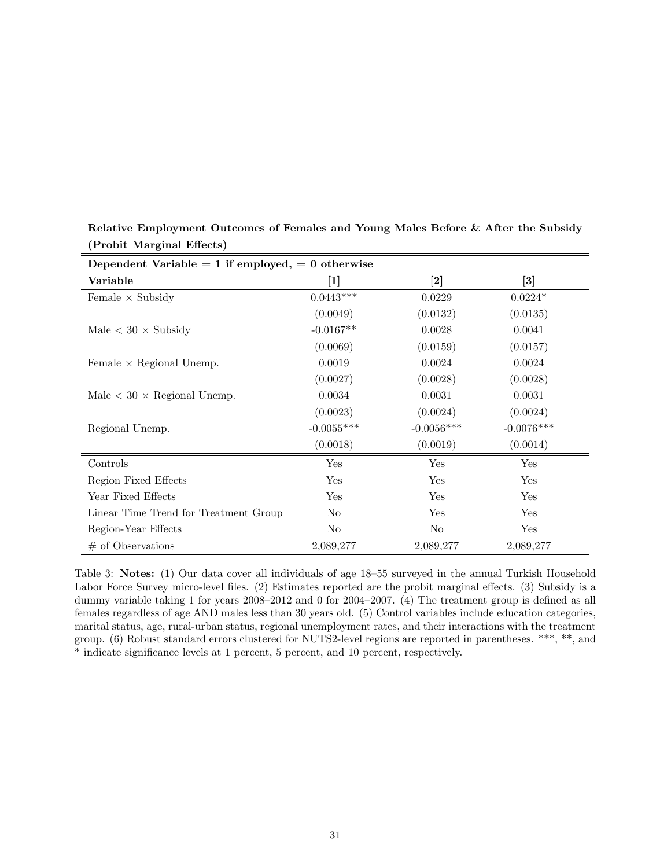| Dependent Variable $= 1$ if employed, $= 0$ otherwise |              |                                                                                                                                                                                                                                     |                   |  |  |  |  |
|-------------------------------------------------------|--------------|-------------------------------------------------------------------------------------------------------------------------------------------------------------------------------------------------------------------------------------|-------------------|--|--|--|--|
| Variable                                              | $[1]$        | $[2] % \includegraphics[width=1\textwidth]{images/TrDiM-Architecture.png} \caption{The figure shows the number of parameters in the right panel. The left panel shows the number of parameters in the right panel.} \label{TrDiS2}$ | $\left[ 3\right]$ |  |  |  |  |
| Female $\times$ Subsidy                               | $0.0443***$  | 0.0229                                                                                                                                                                                                                              | $0.0224*$         |  |  |  |  |
|                                                       | (0.0049)     | (0.0132)                                                                                                                                                                                                                            | (0.0135)          |  |  |  |  |
| Male $< 30 \times$ Subsidy                            | $-0.0167**$  | 0.0028                                                                                                                                                                                                                              | 0.0041            |  |  |  |  |
|                                                       | (0.0069)     | (0.0159)                                                                                                                                                                                                                            | (0.0157)          |  |  |  |  |
| Female $\times$ Regional Unemp.                       | 0.0019       | 0.0024                                                                                                                                                                                                                              | 0.0024            |  |  |  |  |
|                                                       | (0.0027)     | (0.0028)                                                                                                                                                                                                                            | (0.0028)          |  |  |  |  |
| Male $< 30 \times$ Regional Unemp.                    | 0.0034       | 0.0031                                                                                                                                                                                                                              | 0.0031            |  |  |  |  |
|                                                       | (0.0023)     | (0.0024)                                                                                                                                                                                                                            | (0.0024)          |  |  |  |  |
| Regional Unemp.                                       | $-0.0055***$ | $-0.0056***$                                                                                                                                                                                                                        | $-0.0076***$      |  |  |  |  |
|                                                       | (0.0018)     | (0.0019)                                                                                                                                                                                                                            | (0.0014)          |  |  |  |  |
| Controls                                              | Yes          | Yes                                                                                                                                                                                                                                 | Yes               |  |  |  |  |
| Region Fixed Effects                                  | Yes          | Yes                                                                                                                                                                                                                                 | Yes               |  |  |  |  |
| Year Fixed Effects                                    | Yes          | Yes                                                                                                                                                                                                                                 | Yes               |  |  |  |  |
| Linear Time Trend for Treatment Group                 | No           | Yes                                                                                                                                                                                                                                 | Yes               |  |  |  |  |
| Region-Year Effects                                   | No           | No                                                                                                                                                                                                                                  | Yes               |  |  |  |  |
| $#$ of Observations                                   | 2,089,277    | 2,089,277                                                                                                                                                                                                                           | 2,089,277         |  |  |  |  |

<span id="page-32-0"></span>Relative Employment Outcomes of Females and Young Males Before & After the Subsidy (Probit Marginal Effects)

Table 3: Notes: (1) Our data cover all individuals of age 18–55 surveyed in the annual Turkish Household Labor Force Survey micro-level files. (2) Estimates reported are the probit marginal effects. (3) Subsidy is a dummy variable taking 1 for years 2008–2012 and 0 for 2004–2007. (4) The treatment group is defined as all females regardless of age AND males less than 30 years old. (5) Control variables include education categories, marital status, age, rural-urban status, regional unemployment rates, and their interactions with the treatment group. (6) Robust standard errors clustered for NUTS2-level regions are reported in parentheses. \*\*\*, \*\*, and \* indicate significance levels at 1 percent, 5 percent, and 10 percent, respectively.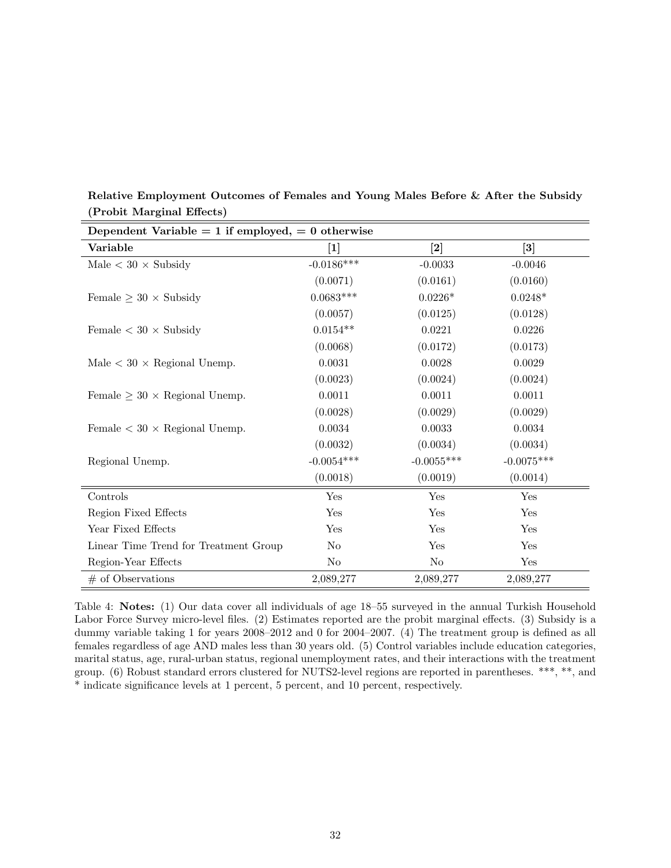|                                         | Dependent Variable = 1 if employed, = 0 otherwise |                   |                   |  |  |  |  |  |
|-----------------------------------------|---------------------------------------------------|-------------------|-------------------|--|--|--|--|--|
| Variable                                | $\left[1\right]$                                  | $\left[ 2\right]$ | $\left[ 3\right]$ |  |  |  |  |  |
| Male $<$ 30 $\times$ Subsidy            | $-0.0186***$                                      | $-0.0033$         | $-0.0046$         |  |  |  |  |  |
|                                         | (0.0071)                                          | (0.0161)          | (0.0160)          |  |  |  |  |  |
| Female $\geq 30 \times$ Subsidy         | $0.0683***$                                       | $0.0226*$         | $0.0248*$         |  |  |  |  |  |
|                                         | (0.0057)                                          | (0.0125)          | (0.0128)          |  |  |  |  |  |
| Female $< 30 \times$ Subsidy            | $0.0154**$                                        | 0.0221            | 0.0226            |  |  |  |  |  |
|                                         | (0.0068)                                          | (0.0172)          | (0.0173)          |  |  |  |  |  |
| Male $<$ 30 $\times$ Regional Unemp.    | 0.0031                                            | 0.0028            | 0.0029            |  |  |  |  |  |
|                                         | (0.0023)                                          | (0.0024)          | (0.0024)          |  |  |  |  |  |
| Female $\geq 30 \times$ Regional Unemp. | 0.0011                                            | 0.0011            | 0.0011            |  |  |  |  |  |
|                                         | (0.0028)                                          | (0.0029)          | (0.0029)          |  |  |  |  |  |
| Female $<$ 30 $\times$ Regional Unemp.  | 0.0034                                            | 0.0033            | 0.0034            |  |  |  |  |  |
|                                         | (0.0032)                                          | (0.0034)          | (0.0034)          |  |  |  |  |  |
| Regional Unemp.                         | $-0.0054***$                                      | $-0.0055***$      | $-0.0075***$      |  |  |  |  |  |
|                                         | (0.0018)                                          | (0.0019)          | (0.0014)          |  |  |  |  |  |
| Controls                                | Yes                                               | Yes               | Yes               |  |  |  |  |  |
| Region Fixed Effects                    | Yes                                               | Yes               | Yes               |  |  |  |  |  |
| Year Fixed Effects                      | Yes                                               | Yes               | Yes               |  |  |  |  |  |
| Linear Time Trend for Treatment Group   | $\rm No$                                          | Yes               | Yes               |  |  |  |  |  |
| Region-Year Effects                     | No                                                | No                | Yes               |  |  |  |  |  |
| $#$ of Observations                     | 2,089,277                                         | 2,089,277         | 2,089,277         |  |  |  |  |  |

<span id="page-33-0"></span>Relative Employment Outcomes of Females and Young Males Before & After the Subsidy (Probit Marginal Effects)

Table 4: Notes: (1) Our data cover all individuals of age 18–55 surveyed in the annual Turkish Household Labor Force Survey micro-level files. (2) Estimates reported are the probit marginal effects. (3) Subsidy is a dummy variable taking 1 for years 2008–2012 and 0 for 2004–2007. (4) The treatment group is defined as all females regardless of age AND males less than 30 years old. (5) Control variables include education categories, marital status, age, rural-urban status, regional unemployment rates, and their interactions with the treatment group. (6) Robust standard errors clustered for NUTS2-level regions are reported in parentheses. \*\*\*, \*\*, and \* indicate significance levels at 1 percent, 5 percent, and 10 percent, respectively.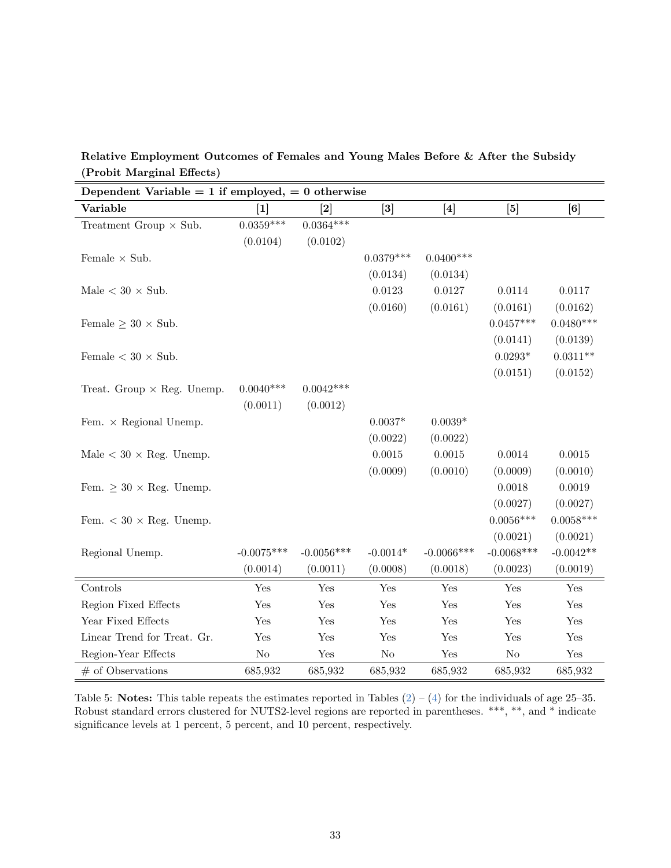<span id="page-34-0"></span>

| Relative Employment Outcomes of Females and Young Males Before & After the Subsidy |  |  |  |
|------------------------------------------------------------------------------------|--|--|--|
| (Probit Marginal Effects)                                                          |  |  |  |

| Dependent Variable = 1 if employed, = 0 otherwise |                                                                                                                                                                                                                                                                                         |              |                                                                                                                                                                                                                                            |               |              |              |  |
|---------------------------------------------------|-----------------------------------------------------------------------------------------------------------------------------------------------------------------------------------------------------------------------------------------------------------------------------------------|--------------|--------------------------------------------------------------------------------------------------------------------------------------------------------------------------------------------------------------------------------------------|---------------|--------------|--------------|--|
| Variable                                          | $[1] % \includegraphics[width=0.9\columnwidth]{figures/fig_1a} \caption{The image shows the number of times, and the number of times, and the number of times, are indicated with the number of times, and the number of times, are indicated with the number of times.} \label{fig:1}$ | $\bm{[2]}$   | $[3] % \includegraphics[width=0.9\columnwidth]{figures/fig_1a} \caption{The figure shows the number of times, and the number of times, and the number of times, and the number of times, are indicated with the same time.} \label{fig:1}$ | $[4]$         | $[5]$        | [6]          |  |
| Treatment Group $\times$ Sub.                     | $0.0359***$                                                                                                                                                                                                                                                                             | $0.0364***$  |                                                                                                                                                                                                                                            |               |              |              |  |
|                                                   | (0.0104)                                                                                                                                                                                                                                                                                | (0.0102)     |                                                                                                                                                                                                                                            |               |              |              |  |
| Female $\times$ Sub.                              |                                                                                                                                                                                                                                                                                         |              | $0.0379***$                                                                                                                                                                                                                                | $0.0400***$   |              |              |  |
|                                                   |                                                                                                                                                                                                                                                                                         |              | (0.0134)                                                                                                                                                                                                                                   | (0.0134)      |              |              |  |
| Male $< 30 \times$ Sub.                           |                                                                                                                                                                                                                                                                                         |              | 0.0123                                                                                                                                                                                                                                     | 0.0127        | 0.0114       | 0.0117       |  |
|                                                   |                                                                                                                                                                                                                                                                                         |              | (0.0160)                                                                                                                                                                                                                                   | (0.0161)      | (0.0161)     | (0.0162)     |  |
| Female $\geq 30 \times$ Sub.                      |                                                                                                                                                                                                                                                                                         |              |                                                                                                                                                                                                                                            |               | $0.0457***$  | $0.0480***$  |  |
|                                                   |                                                                                                                                                                                                                                                                                         |              |                                                                                                                                                                                                                                            |               | (0.0141)     | (0.0139)     |  |
| Female $< 30 \times Sub$ .                        |                                                                                                                                                                                                                                                                                         |              |                                                                                                                                                                                                                                            |               | $0.0293*$    | $0.0311**$   |  |
|                                                   |                                                                                                                                                                                                                                                                                         |              |                                                                                                                                                                                                                                            |               | (0.0151)     | (0.0152)     |  |
| Treat. Group $\times$ Reg. Unemp.                 | $0.0040***$                                                                                                                                                                                                                                                                             | $0.0042***$  |                                                                                                                                                                                                                                            |               |              |              |  |
|                                                   | (0.0011)                                                                                                                                                                                                                                                                                | (0.0012)     |                                                                                                                                                                                                                                            |               |              |              |  |
| Fem. $\times$ Regional Unemp.                     |                                                                                                                                                                                                                                                                                         |              | $0.0037*$                                                                                                                                                                                                                                  | $0.0039*$     |              |              |  |
|                                                   |                                                                                                                                                                                                                                                                                         |              | (0.0022)                                                                                                                                                                                                                                   | (0.0022)      |              |              |  |
| Male $< 30 \times$ Reg. Unemp.                    |                                                                                                                                                                                                                                                                                         |              | 0.0015                                                                                                                                                                                                                                     | 0.0015        | 0.0014       | $\,0.0015\,$ |  |
|                                                   |                                                                                                                                                                                                                                                                                         |              | (0.0009)                                                                                                                                                                                                                                   | (0.0010)      | (0.0009)     | (0.0010)     |  |
| Fem. $\geq 30 \times$ Reg. Unemp.                 |                                                                                                                                                                                                                                                                                         |              |                                                                                                                                                                                                                                            |               | 0.0018       | 0.0019       |  |
|                                                   |                                                                                                                                                                                                                                                                                         |              |                                                                                                                                                                                                                                            |               | (0.0027)     | (0.0027)     |  |
| Fem. $< 30 \times$ Reg. Unemp.                    |                                                                                                                                                                                                                                                                                         |              |                                                                                                                                                                                                                                            |               | $0.0056***$  | $0.0058***$  |  |
|                                                   |                                                                                                                                                                                                                                                                                         |              |                                                                                                                                                                                                                                            |               | (0.0021)     | (0.0021)     |  |
| Regional Unemp.                                   | $-0.0075***$                                                                                                                                                                                                                                                                            | $-0.0056***$ | $-0.0014*$                                                                                                                                                                                                                                 | $-0.0066$ *** | $-0.0068***$ | $-0.0042**$  |  |
|                                                   | (0.0014)                                                                                                                                                                                                                                                                                | (0.0011)     | (0.0008)                                                                                                                                                                                                                                   | (0.0018)      | (0.0023)     | (0.0019)     |  |
| Controls                                          | Yes                                                                                                                                                                                                                                                                                     | Yes          | Yes                                                                                                                                                                                                                                        | Yes           | Yes          | Yes          |  |
| Region Fixed Effects                              | Yes                                                                                                                                                                                                                                                                                     | Yes          | Yes                                                                                                                                                                                                                                        | Yes           | Yes          | Yes          |  |
| Year Fixed Effects                                | Yes                                                                                                                                                                                                                                                                                     | Yes          | Yes                                                                                                                                                                                                                                        | Yes           | Yes          | Yes          |  |
| Linear Trend for Treat. Gr.                       | Yes                                                                                                                                                                                                                                                                                     | Yes          | Yes                                                                                                                                                                                                                                        | Yes           | Yes          | Yes          |  |
| Region-Year Effects                               | $\rm No$                                                                                                                                                                                                                                                                                | Yes          | No                                                                                                                                                                                                                                         | Yes           | $\rm No$     | Yes          |  |
| $#$ of Observations                               | 685,932                                                                                                                                                                                                                                                                                 | 685,932      | 685,932                                                                                                                                                                                                                                    | 685,932       | 685,932      | 685,932      |  |

Table 5: **Notes:** This table repeats the estimates reported in Tables  $(2) - (4)$  $(2) - (4)$  $(2) - (4)$  for the individuals of age 25–35. Robust standard errors clustered for NUTS2-level regions are reported in parentheses. \*\*\*, \*\*, and \* indicate significance levels at 1 percent, 5 percent, and 10 percent, respectively.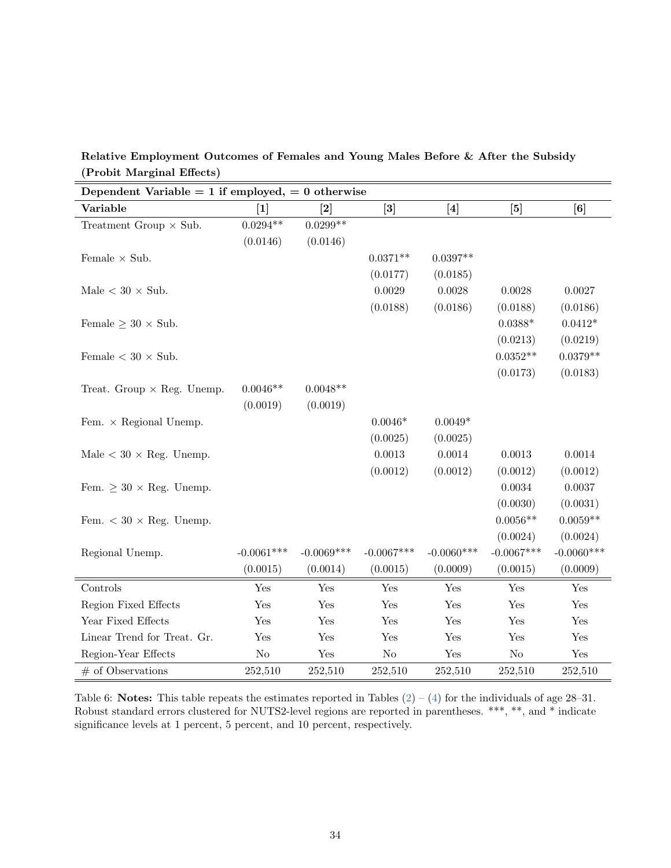<span id="page-35-0"></span>

| Relative Employment Outcomes of Females and Young Males Before & After the Subsidy |  |  |  |
|------------------------------------------------------------------------------------|--|--|--|
| (Probit Marginal Effects)                                                          |  |  |  |

| Dependent Variable = 1 if employed, = 0 otherwise |                                                                                                                                                                                                                                                                                         |                                                                                                                                                                                                                                            |                                                                                                                                                                                                                                            |              |              |                      |
|---------------------------------------------------|-----------------------------------------------------------------------------------------------------------------------------------------------------------------------------------------------------------------------------------------------------------------------------------------|--------------------------------------------------------------------------------------------------------------------------------------------------------------------------------------------------------------------------------------------|--------------------------------------------------------------------------------------------------------------------------------------------------------------------------------------------------------------------------------------------|--------------|--------------|----------------------|
| Variable                                          | $[1] % \includegraphics[width=0.9\columnwidth]{figures/fig_1a} \caption{The image shows the number of times, and the number of times, and the number of times, are indicated with the number of times, and the number of times, are indicated with the number of times.} \label{fig:2}$ | $[2] % \includegraphics[width=0.9\columnwidth]{figures/fig_1a} \caption{The figure shows the number of times, and the number of times, and the number of times, and the number of times, are indicated with the same time.} \label{fig:1}$ | $[3] % \includegraphics[width=0.9\columnwidth]{figures/fig_1a} \caption{The figure shows the number of times, and the number of times, and the number of times, and the number of times, are indicated with the same time.} \label{fig:1}$ | $[4]$        | $[5]$        |                      |
| Treatment Group $\times$ Sub.                     | $0.0294**$                                                                                                                                                                                                                                                                              | $0.0299**$                                                                                                                                                                                                                                 |                                                                                                                                                                                                                                            |              |              |                      |
|                                                   | (0.0146)                                                                                                                                                                                                                                                                                | (0.0146)                                                                                                                                                                                                                                   |                                                                                                                                                                                                                                            |              |              |                      |
| Female $\times$ Sub.                              |                                                                                                                                                                                                                                                                                         |                                                                                                                                                                                                                                            | $0.0371**$                                                                                                                                                                                                                                 | $0.0397**$   |              |                      |
|                                                   |                                                                                                                                                                                                                                                                                         |                                                                                                                                                                                                                                            | (0.0177)                                                                                                                                                                                                                                   | (0.0185)     |              |                      |
| Male $<$ 30 $\times$ Sub.                         |                                                                                                                                                                                                                                                                                         |                                                                                                                                                                                                                                            | 0.0029                                                                                                                                                                                                                                     | 0.0028       | 0.0028       | 0.0027               |
|                                                   |                                                                                                                                                                                                                                                                                         |                                                                                                                                                                                                                                            | (0.0188)                                                                                                                                                                                                                                   | (0.0186)     | (0.0188)     | (0.0186)             |
| Female $\geq 30 \times$ Sub.                      |                                                                                                                                                                                                                                                                                         |                                                                                                                                                                                                                                            |                                                                                                                                                                                                                                            |              | $0.0388*$    | $0.0412*$            |
|                                                   |                                                                                                                                                                                                                                                                                         |                                                                                                                                                                                                                                            |                                                                                                                                                                                                                                            |              | (0.0213)     | (0.0219)             |
| Female $< 30 \times Sub$ .                        |                                                                                                                                                                                                                                                                                         |                                                                                                                                                                                                                                            |                                                                                                                                                                                                                                            |              | $0.0352**$   | $0.0379**$           |
|                                                   |                                                                                                                                                                                                                                                                                         |                                                                                                                                                                                                                                            |                                                                                                                                                                                                                                            |              | (0.0173)     | (0.0183)             |
| Treat. Group $\times$ Reg. Unemp.                 | $0.0046**$                                                                                                                                                                                                                                                                              | $0.0048**$                                                                                                                                                                                                                                 |                                                                                                                                                                                                                                            |              |              |                      |
|                                                   | (0.0019)                                                                                                                                                                                                                                                                                | (0.0019)                                                                                                                                                                                                                                   |                                                                                                                                                                                                                                            |              |              |                      |
| Fem. $\times$ Regional Unemp.                     |                                                                                                                                                                                                                                                                                         |                                                                                                                                                                                                                                            | $0.0046*$                                                                                                                                                                                                                                  | $0.0049*$    |              |                      |
|                                                   |                                                                                                                                                                                                                                                                                         |                                                                                                                                                                                                                                            | (0.0025)                                                                                                                                                                                                                                   | (0.0025)     |              |                      |
| Male $< 30 \times$ Reg. Unemp.                    |                                                                                                                                                                                                                                                                                         |                                                                                                                                                                                                                                            | $0.0013\,$                                                                                                                                                                                                                                 | 0.0014       | 0.0013       | 0.0014               |
|                                                   |                                                                                                                                                                                                                                                                                         |                                                                                                                                                                                                                                            | (0.0012)                                                                                                                                                                                                                                   | (0.0012)     | (0.0012)     | (0.0012)             |
| Fem. $\geq 30 \times$ Reg. Unemp.                 |                                                                                                                                                                                                                                                                                         |                                                                                                                                                                                                                                            |                                                                                                                                                                                                                                            |              | 0.0034       | 0.0037               |
|                                                   |                                                                                                                                                                                                                                                                                         |                                                                                                                                                                                                                                            |                                                                                                                                                                                                                                            |              | (0.0030)     | (0.0031)             |
| Fem. $< 30 \times$ Reg. Unemp.                    |                                                                                                                                                                                                                                                                                         |                                                                                                                                                                                                                                            |                                                                                                                                                                                                                                            |              | $0.0056**$   | $0.0059**$           |
|                                                   |                                                                                                                                                                                                                                                                                         |                                                                                                                                                                                                                                            |                                                                                                                                                                                                                                            |              | (0.0024)     | (0.0024)             |
| Regional Unemp.                                   | $-0.0061***$                                                                                                                                                                                                                                                                            | $-0.0069***$                                                                                                                                                                                                                               | $-0.0067***$                                                                                                                                                                                                                               | $-0.0060***$ | $-0.0067***$ | $-0.0060***$         |
|                                                   | (0.0015)                                                                                                                                                                                                                                                                                | (0.0014)                                                                                                                                                                                                                                   | (0.0015)                                                                                                                                                                                                                                   | (0.0009)     | (0.0015)     | (0.0009)             |
| Controls                                          | Yes                                                                                                                                                                                                                                                                                     | Yes                                                                                                                                                                                                                                        | Yes                                                                                                                                                                                                                                        | Yes          | Yes          | Yes                  |
| Region Fixed Effects                              | Yes                                                                                                                                                                                                                                                                                     | Yes                                                                                                                                                                                                                                        | Yes                                                                                                                                                                                                                                        | Yes          | Yes          | Yes                  |
| Year Fixed Effects                                | Yes                                                                                                                                                                                                                                                                                     | Yes                                                                                                                                                                                                                                        | Yes                                                                                                                                                                                                                                        | Yes          | Yes          | Yes                  |
| Linear Trend for Treat. Gr.                       | Yes                                                                                                                                                                                                                                                                                     | Yes                                                                                                                                                                                                                                        | Yes                                                                                                                                                                                                                                        | Yes          | Yes          | $\operatorname{Yes}$ |
| Region-Year Effects                               | N <sub>o</sub>                                                                                                                                                                                                                                                                          | Yes                                                                                                                                                                                                                                        | $\rm No$                                                                                                                                                                                                                                   | Yes          | $\rm No$     | Yes                  |
| $#$ of Observations                               | 252,510                                                                                                                                                                                                                                                                                 | 252,510                                                                                                                                                                                                                                    | 252,510                                                                                                                                                                                                                                    | 252,510      | 252,510      | 252,510              |

Table 6: **Notes:** This table repeats the estimates reported in Tables  $(2) - (4)$  $(2) - (4)$  $(2) - (4)$  for the individuals of age 28–31. Robust standard errors clustered for NUTS2-level regions are reported in parentheses. \*\*\*, \*\*, and \* indicate significance levels at 1 percent, 5 percent, and 10 percent, respectively.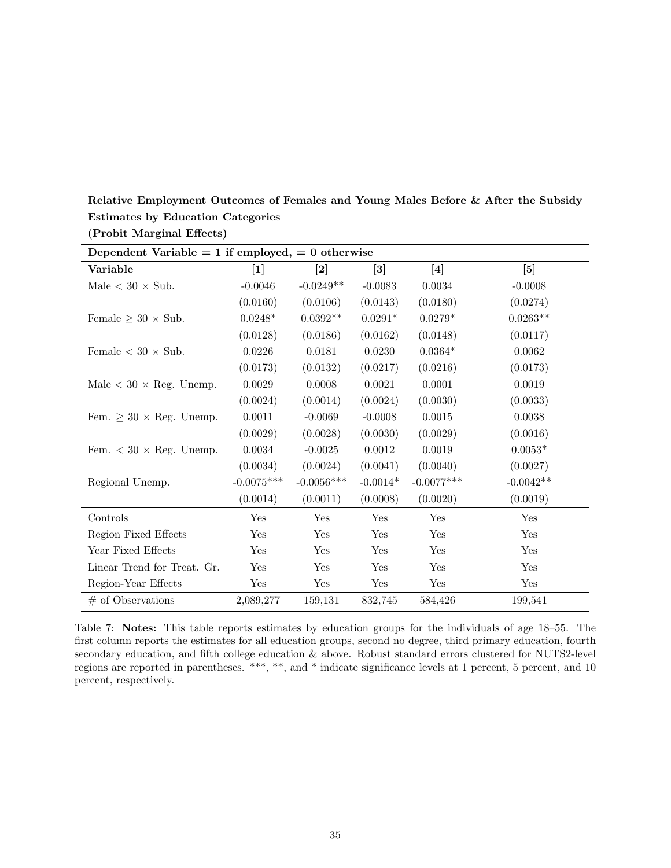| Dependent Variable = 1 if employed, = 0 otherwise |              |                   |                                                                                                                                                                                                                                            |                                                                                                                                                                                                                                                                                                                                                                                                                                                                                                                                                                                                                                                                                                                                                                                                                                                                    |                                                                                                                                                                                                              |  |  |
|---------------------------------------------------|--------------|-------------------|--------------------------------------------------------------------------------------------------------------------------------------------------------------------------------------------------------------------------------------------|--------------------------------------------------------------------------------------------------------------------------------------------------------------------------------------------------------------------------------------------------------------------------------------------------------------------------------------------------------------------------------------------------------------------------------------------------------------------------------------------------------------------------------------------------------------------------------------------------------------------------------------------------------------------------------------------------------------------------------------------------------------------------------------------------------------------------------------------------------------------|--------------------------------------------------------------------------------------------------------------------------------------------------------------------------------------------------------------|--|--|
| Variable                                          |              | $\left[ 2\right]$ | $[3] % \includegraphics[width=0.9\columnwidth]{figures/fig_1a} \caption{The figure shows the number of times, and the number of times, and the number of times, and the number of times, are indicated with the same time.} \label{fig:1}$ | $[4] % \includegraphics[width=0.9\columnwidth]{figures/fig_4} \caption{A graph shows a function of the number of times, and the number of times, in the left, the number of times, in the right, the number of times, in the right, the number of times, in the right, the number of times, in the right, the number of times, in the right, the number of times, in the right, the number of times, in the right, the number of times, in the right, the number of times, in the right, the number of times, in the right, the number of times, in the right, the number of times, in the right, the number of times, in the right, the number of times, in the right, the number of times, in the right, the number of times, in the right, the number of times, in the right, the number of times, in the right, the number of times, in the right, the number$ | $[5] % \includegraphics[width=0.9\columnwidth]{figures/fig_1a} \caption{The 3D (top) of the parameter $\Omega$ in the left and right. The left is the same time, the right is the same time.} \label{fig:1}$ |  |  |
| Male $<$ 30 $\times$ Sub.                         | $-0.0046$    | $-0.0249**$       | $-0.0083$                                                                                                                                                                                                                                  | 0.0034                                                                                                                                                                                                                                                                                                                                                                                                                                                                                                                                                                                                                                                                                                                                                                                                                                                             | $-0.0008$                                                                                                                                                                                                    |  |  |
|                                                   | (0.0160)     | (0.0106)          | (0.0143)                                                                                                                                                                                                                                   | (0.0180)                                                                                                                                                                                                                                                                                                                                                                                                                                                                                                                                                                                                                                                                                                                                                                                                                                                           | (0.0274)                                                                                                                                                                                                     |  |  |
| Female $\geq 30 \times$ Sub.                      | $0.0248*$    | $0.0392**$        | $0.0291*$                                                                                                                                                                                                                                  | $0.0279*$                                                                                                                                                                                                                                                                                                                                                                                                                                                                                                                                                                                                                                                                                                                                                                                                                                                          | $0.0263**$                                                                                                                                                                                                   |  |  |
|                                                   | (0.0128)     | (0.0186)          | (0.0162)                                                                                                                                                                                                                                   | (0.0148)                                                                                                                                                                                                                                                                                                                                                                                                                                                                                                                                                                                                                                                                                                                                                                                                                                                           | (0.0117)                                                                                                                                                                                                     |  |  |
| Female $< 30 \times Sub$ .                        | 0.0226       | 0.0181            | 0.0230                                                                                                                                                                                                                                     | $0.0364*$                                                                                                                                                                                                                                                                                                                                                                                                                                                                                                                                                                                                                                                                                                                                                                                                                                                          | 0.0062                                                                                                                                                                                                       |  |  |
|                                                   | (0.0173)     | (0.0132)          | (0.0217)                                                                                                                                                                                                                                   | (0.0216)                                                                                                                                                                                                                                                                                                                                                                                                                                                                                                                                                                                                                                                                                                                                                                                                                                                           | (0.0173)                                                                                                                                                                                                     |  |  |
| Male $< 30 \times$ Reg. Unemp.                    | 0.0029       | 0.0008            | 0.0021                                                                                                                                                                                                                                     | 0.0001                                                                                                                                                                                                                                                                                                                                                                                                                                                                                                                                                                                                                                                                                                                                                                                                                                                             | 0.0019                                                                                                                                                                                                       |  |  |
|                                                   | (0.0024)     | (0.0014)          | (0.0024)                                                                                                                                                                                                                                   | (0.0030)                                                                                                                                                                                                                                                                                                                                                                                                                                                                                                                                                                                                                                                                                                                                                                                                                                                           | (0.0033)                                                                                                                                                                                                     |  |  |
| Fem. $\geq 30 \times$ Reg. Unemp.                 | 0.0011       | $-0.0069$         | $-0.0008$                                                                                                                                                                                                                                  | $\,0.0015\,$                                                                                                                                                                                                                                                                                                                                                                                                                                                                                                                                                                                                                                                                                                                                                                                                                                                       | 0.0038                                                                                                                                                                                                       |  |  |
|                                                   | (0.0029)     | (0.0028)          | (0.0030)                                                                                                                                                                                                                                   | (0.0029)                                                                                                                                                                                                                                                                                                                                                                                                                                                                                                                                                                                                                                                                                                                                                                                                                                                           | (0.0016)                                                                                                                                                                                                     |  |  |
| Fem. $<$ 30 $\times$ Reg. Unemp.                  | 0.0034       | $-0.0025$         | 0.0012                                                                                                                                                                                                                                     | 0.0019                                                                                                                                                                                                                                                                                                                                                                                                                                                                                                                                                                                                                                                                                                                                                                                                                                                             | $0.0053*$                                                                                                                                                                                                    |  |  |
|                                                   | (0.0034)     | (0.0024)          | (0.0041)                                                                                                                                                                                                                                   | (0.0040)                                                                                                                                                                                                                                                                                                                                                                                                                                                                                                                                                                                                                                                                                                                                                                                                                                                           | (0.0027)                                                                                                                                                                                                     |  |  |
| Regional Unemp.                                   | $-0.0075***$ | $-0.0056***$      | $-0.0014*$                                                                                                                                                                                                                                 | $-0.0077***$                                                                                                                                                                                                                                                                                                                                                                                                                                                                                                                                                                                                                                                                                                                                                                                                                                                       | $-0.0042**$                                                                                                                                                                                                  |  |  |
|                                                   | (0.0014)     | (0.0011)          | (0.0008)                                                                                                                                                                                                                                   | (0.0020)                                                                                                                                                                                                                                                                                                                                                                                                                                                                                                                                                                                                                                                                                                                                                                                                                                                           | (0.0019)                                                                                                                                                                                                     |  |  |
| Controls                                          | Yes          | Yes               | Yes                                                                                                                                                                                                                                        | Yes                                                                                                                                                                                                                                                                                                                                                                                                                                                                                                                                                                                                                                                                                                                                                                                                                                                                | Yes                                                                                                                                                                                                          |  |  |
| Region Fixed Effects                              | Yes          | Yes               | Yes                                                                                                                                                                                                                                        | Yes                                                                                                                                                                                                                                                                                                                                                                                                                                                                                                                                                                                                                                                                                                                                                                                                                                                                | Yes                                                                                                                                                                                                          |  |  |
| Year Fixed Effects                                | Yes          | Yes               | Yes                                                                                                                                                                                                                                        | Yes                                                                                                                                                                                                                                                                                                                                                                                                                                                                                                                                                                                                                                                                                                                                                                                                                                                                | Yes                                                                                                                                                                                                          |  |  |
| Linear Trend for Treat. Gr.                       | Yes          | Yes               | Yes                                                                                                                                                                                                                                        | Yes                                                                                                                                                                                                                                                                                                                                                                                                                                                                                                                                                                                                                                                                                                                                                                                                                                                                | Yes                                                                                                                                                                                                          |  |  |
| Region-Year Effects                               | Yes          | Yes               | Yes                                                                                                                                                                                                                                        | Yes                                                                                                                                                                                                                                                                                                                                                                                                                                                                                                                                                                                                                                                                                                                                                                                                                                                                | Yes                                                                                                                                                                                                          |  |  |
| $#$ of Observations                               | 2,089,277    | 159,131           | 832,745                                                                                                                                                                                                                                    | 584,426                                                                                                                                                                                                                                                                                                                                                                                                                                                                                                                                                                                                                                                                                                                                                                                                                                                            | 199,541                                                                                                                                                                                                      |  |  |

<span id="page-36-0"></span>Relative Employment Outcomes of Females and Young Males Before & After the Subsidy Estimates by Education Categories (Probit Marginal Effects)

Table 7: Notes: This table reports estimates by education groups for the individuals of age 18–55. The first column reports the estimates for all education groups, second no degree, third primary education, fourth secondary education, and fifth college education & above. Robust standard errors clustered for NUTS2-level regions are reported in parentheses. \*\*\*, \*\*, and \* indicate significance levels at 1 percent, 5 percent, and 10 percent, respectively.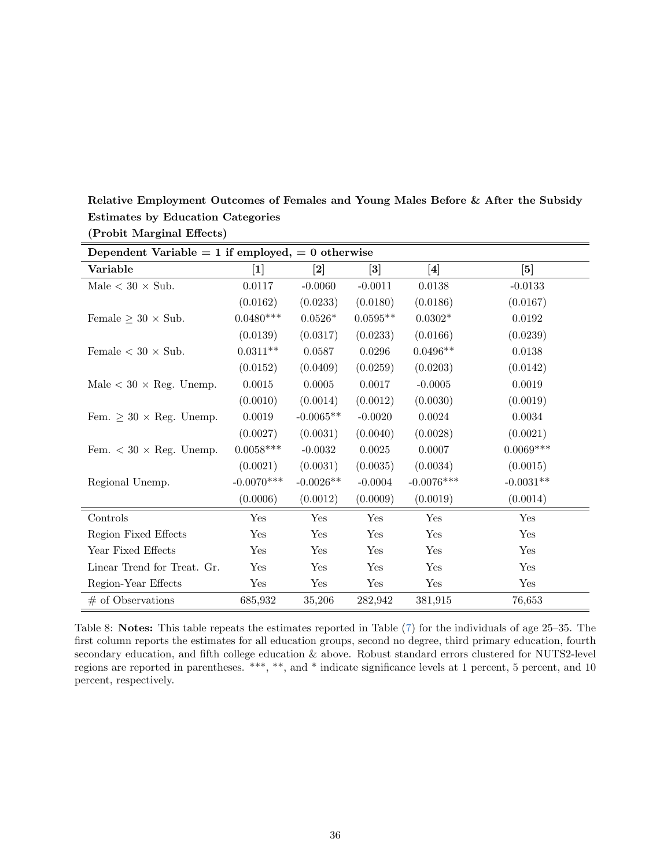|                                   | Dependent Variable = 1 if employed, = 0 otherwise |             |                                                                                                                                                                                                                                            |                                                                                                                                                                                                                                                                                                                                                                                                                                                                                                                                                                                                                                                                                                                                                                                                                                                                    |             |  |  |  |
|-----------------------------------|---------------------------------------------------|-------------|--------------------------------------------------------------------------------------------------------------------------------------------------------------------------------------------------------------------------------------------|--------------------------------------------------------------------------------------------------------------------------------------------------------------------------------------------------------------------------------------------------------------------------------------------------------------------------------------------------------------------------------------------------------------------------------------------------------------------------------------------------------------------------------------------------------------------------------------------------------------------------------------------------------------------------------------------------------------------------------------------------------------------------------------------------------------------------------------------------------------------|-------------|--|--|--|
| Variable                          |                                                   | [2]         | $[3] % \includegraphics[width=0.9\columnwidth]{figures/fig_1a} \caption{The figure shows the number of times, and the number of times, and the number of times, and the number of times, are indicated with the same time.} \label{fig:1}$ | $[4] % \includegraphics[width=0.9\columnwidth]{figures/fig_4} \caption{A graph shows a function of the number of times, and the number of times, in the left, the number of times, in the right, the number of times, in the right, the number of times, in the right, the number of times, in the right, the number of times, in the right, the number of times, in the right, the number of times, in the right, the number of times, in the right, the number of times, in the right, the number of times, in the right, the number of times, in the right, the number of times, in the right, the number of times, in the right, the number of times, in the right, the number of times, in the right, the number of times, in the right, the number of times, in the right, the number of times, in the right, the number of times, in the right, the number$ | $[5]$       |  |  |  |
| Male $<$ 30 $\times$ Sub.         | 0.0117                                            | $-0.0060$   | $-0.0011$                                                                                                                                                                                                                                  | 0.0138                                                                                                                                                                                                                                                                                                                                                                                                                                                                                                                                                                                                                                                                                                                                                                                                                                                             | $-0.0133$   |  |  |  |
|                                   | (0.0162)                                          | (0.0233)    | (0.0180)                                                                                                                                                                                                                                   | (0.0186)                                                                                                                                                                                                                                                                                                                                                                                                                                                                                                                                                                                                                                                                                                                                                                                                                                                           | (0.0167)    |  |  |  |
| Female $\geq 30 \times$ Sub.      | $0.0480***$                                       | $0.0526*$   | $0.0595**$                                                                                                                                                                                                                                 | $0.0302*$                                                                                                                                                                                                                                                                                                                                                                                                                                                                                                                                                                                                                                                                                                                                                                                                                                                          | 0.0192      |  |  |  |
|                                   | (0.0139)                                          | (0.0317)    | (0.0233)                                                                                                                                                                                                                                   | (0.0166)                                                                                                                                                                                                                                                                                                                                                                                                                                                                                                                                                                                                                                                                                                                                                                                                                                                           | (0.0239)    |  |  |  |
| Female $< 30 \times Sub$ .        | $0.0311**$                                        | 0.0587      | 0.0296                                                                                                                                                                                                                                     | $0.0496**$                                                                                                                                                                                                                                                                                                                                                                                                                                                                                                                                                                                                                                                                                                                                                                                                                                                         | 0.0138      |  |  |  |
|                                   | (0.0152)                                          | (0.0409)    | (0.0259)                                                                                                                                                                                                                                   | (0.0203)                                                                                                                                                                                                                                                                                                                                                                                                                                                                                                                                                                                                                                                                                                                                                                                                                                                           | (0.0142)    |  |  |  |
| Male < 30 $\times$ Reg. Unemp.    | $0.0015\,$                                        | 0.0005      | 0.0017                                                                                                                                                                                                                                     | $-0.0005$                                                                                                                                                                                                                                                                                                                                                                                                                                                                                                                                                                                                                                                                                                                                                                                                                                                          | 0.0019      |  |  |  |
|                                   | (0.0010)                                          | (0.0014)    | (0.0012)                                                                                                                                                                                                                                   | (0.0030)                                                                                                                                                                                                                                                                                                                                                                                                                                                                                                                                                                                                                                                                                                                                                                                                                                                           | (0.0019)    |  |  |  |
| Fem. $\geq 30 \times$ Reg. Unemp. | 0.0019                                            | $-0.0065**$ | $-0.0020$                                                                                                                                                                                                                                  | 0.0024                                                                                                                                                                                                                                                                                                                                                                                                                                                                                                                                                                                                                                                                                                                                                                                                                                                             | 0.0034      |  |  |  |
|                                   | (0.0027)                                          | (0.0031)    | (0.0040)                                                                                                                                                                                                                                   | (0.0028)                                                                                                                                                                                                                                                                                                                                                                                                                                                                                                                                                                                                                                                                                                                                                                                                                                                           | (0.0021)    |  |  |  |
| Fem. $<$ 30 $\times$ Reg. Unemp.  | $0.0058***$                                       | $-0.0032$   | 0.0025                                                                                                                                                                                                                                     | 0.0007                                                                                                                                                                                                                                                                                                                                                                                                                                                                                                                                                                                                                                                                                                                                                                                                                                                             | $0.0069***$ |  |  |  |
|                                   | (0.0021)                                          | (0.0031)    | (0.0035)                                                                                                                                                                                                                                   | (0.0034)                                                                                                                                                                                                                                                                                                                                                                                                                                                                                                                                                                                                                                                                                                                                                                                                                                                           | (0.0015)    |  |  |  |
| Regional Unemp.                   | $-0.0070***$                                      | $-0.0026**$ | $-0.0004$                                                                                                                                                                                                                                  | $-0.0076***$                                                                                                                                                                                                                                                                                                                                                                                                                                                                                                                                                                                                                                                                                                                                                                                                                                                       | $-0.0031**$ |  |  |  |
|                                   | (0.0006)                                          | (0.0012)    | (0.0009)                                                                                                                                                                                                                                   | (0.0019)                                                                                                                                                                                                                                                                                                                                                                                                                                                                                                                                                                                                                                                                                                                                                                                                                                                           | (0.0014)    |  |  |  |
| Controls                          | Yes                                               | Yes         | Yes                                                                                                                                                                                                                                        | Yes                                                                                                                                                                                                                                                                                                                                                                                                                                                                                                                                                                                                                                                                                                                                                                                                                                                                | Yes         |  |  |  |
| Region Fixed Effects              | Yes                                               | Yes         | Yes                                                                                                                                                                                                                                        | Yes                                                                                                                                                                                                                                                                                                                                                                                                                                                                                                                                                                                                                                                                                                                                                                                                                                                                | Yes         |  |  |  |
| Year Fixed Effects                | Yes                                               | Yes         | Yes                                                                                                                                                                                                                                        | Yes                                                                                                                                                                                                                                                                                                                                                                                                                                                                                                                                                                                                                                                                                                                                                                                                                                                                | Yes         |  |  |  |
| Linear Trend for Treat. Gr.       | Yes                                               | Yes         | Yes                                                                                                                                                                                                                                        | Yes                                                                                                                                                                                                                                                                                                                                                                                                                                                                                                                                                                                                                                                                                                                                                                                                                                                                | Yes         |  |  |  |
| Region-Year Effects               | Yes                                               | Yes         | Yes                                                                                                                                                                                                                                        | Yes                                                                                                                                                                                                                                                                                                                                                                                                                                                                                                                                                                                                                                                                                                                                                                                                                                                                | Yes         |  |  |  |
| $#$ of Observations               | 685,932                                           | 35,206      | 282,942                                                                                                                                                                                                                                    | 381,915                                                                                                                                                                                                                                                                                                                                                                                                                                                                                                                                                                                                                                                                                                                                                                                                                                                            | 76,653      |  |  |  |

<span id="page-37-0"></span>Relative Employment Outcomes of Females and Young Males Before & After the Subsidy Estimates by Education Categories (Probit Marginal Effects)

Table 8: Notes: This table repeats the estimates reported in Table [\(7\)](#page-36-0) for the individuals of age 25–35. The first column reports the estimates for all education groups, second no degree, third primary education, fourth secondary education, and fifth college education & above. Robust standard errors clustered for NUTS2-level regions are reported in parentheses. \*\*\*, \*\*, and \* indicate significance levels at 1 percent, 5 percent, and 10 percent, respectively.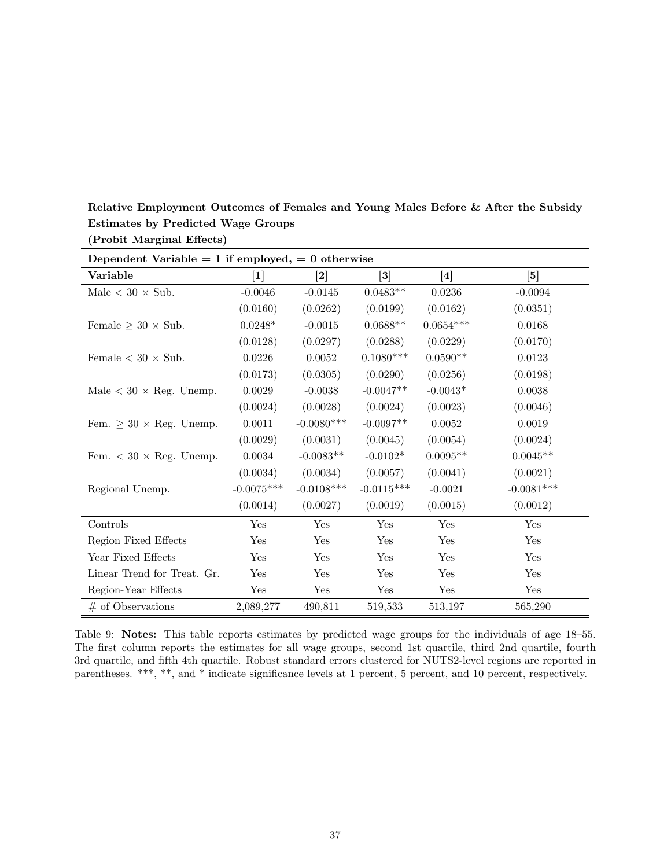| Dependent Variable = 1 if employed, = 0 otherwise |              |              |                 |              |                      |
|---------------------------------------------------|--------------|--------------|-----------------|--------------|----------------------|
| Variable                                          | $[1]$        | $\bm{[2]}$   | $\vert 3 \vert$ | [4]          | [5]                  |
| Male $< 30 \times Sub$ .                          | $-0.0046$    | $-0.0145$    | $0.0483**$      | 0.0236       | $-0.0094$            |
|                                                   | (0.0160)     | (0.0262)     | (0.0199)        | (0.0162)     | (0.0351)             |
| Female $\geq 30 \times$ Sub.                      | $0.0248*$    | $-0.0015$    | $0.0688**$      | $0.0654***$  | 0.0168               |
|                                                   | (0.0128)     | (0.0297)     | (0.0288)        | (0.0229)     | (0.0170)             |
| Female $< 30 \times Sub$ .                        | 0.0226       | 0.0052       | $0.1080***$     | $0.0590**$   | 0.0123               |
|                                                   | (0.0173)     | (0.0305)     | (0.0290)        | (0.0256)     | (0.0198)             |
| Male $< 30 \times$ Reg. Unemp.                    | 0.0029       | $-0.0038$    | $-0.0047**$     | $-0.0043*$   | 0.0038               |
|                                                   | (0.0024)     | (0.0028)     | (0.0024)        | (0.0023)     | (0.0046)             |
| Fem. $\geq 30 \times$ Reg. Unemp.                 | 0.0011       | $-0.0080***$ | $-0.0097**$     | $\,0.0052\,$ | 0.0019               |
|                                                   | (0.0029)     | (0.0031)     | (0.0045)        | (0.0054)     | (0.0024)             |
| Fem. $<$ 30 $\times$ Reg. Unemp.                  | 0.0034       | $-0.0083**$  | $-0.0102*$      | $0.0095**$   | $0.0045**$           |
|                                                   | (0.0034)     | (0.0034)     | (0.0057)        | (0.0041)     | (0.0021)             |
| Regional Unemp.                                   | $-0.0075***$ | $-0.0108***$ | $-0.0115***$    | $-0.0021$    | $-0.0081***$         |
|                                                   | (0.0014)     | (0.0027)     | (0.0019)        | (0.0015)     | (0.0012)             |
| Controls                                          | Yes          | Yes          | Yes             | Yes          | $\operatorname{Yes}$ |
| Region Fixed Effects                              | Yes          | Yes          | Yes             | Yes          | Yes                  |
| Year Fixed Effects                                | Yes          | Yes          | Yes             | Yes          | Yes                  |
| Linear Trend for Treat. Gr.                       | Yes          | Yes          | Yes             | Yes          | Yes                  |
| Region-Year Effects                               | Yes          | Yes          | Yes             | Yes          | Yes                  |
| $#$ of Observations                               | 2,089,277    | 490,811      | 519,533         | 513,197      | 565,290              |

<span id="page-38-0"></span>Relative Employment Outcomes of Females and Young Males Before & After the Subsidy Estimates by Predicted Wage Groups (Probit Marginal Effects)

Table 9: Notes: This table reports estimates by predicted wage groups for the individuals of age 18–55. The first column reports the estimates for all wage groups, second 1st quartile, third 2nd quartile, fourth 3rd quartile, and fifth 4th quartile. Robust standard errors clustered for NUTS2-level regions are reported in parentheses. \*\*\*, \*\*, and \* indicate significance levels at 1 percent, 5 percent, and 10 percent, respectively.